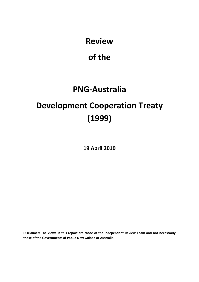**Review** 

# **of the**

# **PNG‐Australia**

# **Development Cooperation Treaty (1999)**

**19 April 2010**

**Disclaimer: The views in this report are those of the Independent Review Team and not necessarily those of the Governments of Papua New Guinea or Australia.**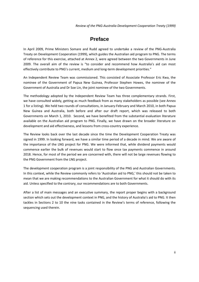## **Preface**

In April 2009, Prime Ministers Somare and Rudd agreed to undertake a review of the PNG‐Australia Treaty on Development Cooperation (1999), which guides the Australian aid program to PNG. The terms of reference for this exercise, attached at Annex 2, were agreed between the two Governments in June 2009. The overall aim of the review is "to consider and recommend how Australia's aid can most effectively contribute to PNG's current, medium and long-term development priorities."

An Independent Review Team was commissioned. This consisted of Associate Professor Eric Kwa, the nominee of the Government of Papua New Guinea, Professor Stephen Howes, the nominee of the Government of Australia and Dr Soe Lin, the joint nominee of the two Governments.

The methodology adopted by the Independent Review Team has three complementary strands. First, we have consulted widely, getting as much feedback from as many stakeholders as possible (see Annex 1 for a listing). We held two rounds of consultations, in January‐February and March 2010, in both Papua New Guinea and Australia, both before and after our draft report, which was released to both Governments on March 1, 2010. Second, we have benefited from the substantial evaluation literature available on the Australian aid program to PNG. Finally, we have drawn on the broader literature on development and aid effectiveness, and lessons from cross‐country experience.

The Review looks back over the last decade since the time the Development Cooperation Treaty was signed in 1999. In looking forward, we have a similar time period of a decade in mind. We are aware of the importance of the LNG project for PNG. We were informed that, while dividend payments would commence earlier the bulk of revenues would start to flow once tax payments commence in around 2018. Hence, for most of the period we are concerned with, there will not be large revenues flowing to the PNG Government from the LNG project.

The development cooperation program is a joint responsibility of the PNG and Australian Governments. In this context, while the Review commonly refers to 'Australian aid to PNG,' this should not be taken to mean that we are making recommendations to the Australian Government for what it should do with its aid. Unless specified to the contrary, our recommendations are to both Governments.

After a list of main messages and an executive summary, the report proper begins with a background section which sets out the development context in PNG, and the history of Australia's aid to PNG. It then tackles in Sections 2 to 10 the nine tasks contained in the Review's terms of reference, following the sequencing used therein.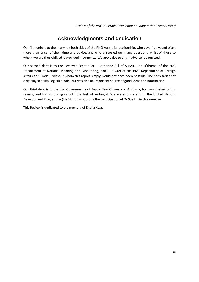# **Acknowledgments and dedication**

Our first debt is to the many, on both sides of the PNG‐Australia relationship, who gave freely, and often more than once, of their time and advice, and who answered our many questions. A list of those to whom we are thus obliged is provided in Annex 1. We apologize to any inadvertently omitted.

Our second debt is to the Review's Secretariat – Catherine Gill of AusAID, Jon N'dramei of the PNG Department of National Planning and Monitoring, and Buri Gari of the PNG Department of Foreign Affairs and Trade – without whom this report simply would not have been possible. The Secretariat not only played a vital logistical role, but was also an important source of good ideas and information.

Our third debt is to the two Governments of Papua New Guinea and Australia, for commissioning this review, and for honouring us with the task of writing it. We are also grateful to the United Nations Development Programme (UNDP) for supporting the participation of Dr Soe Lin in this exercise.

This Review is dedicated to the memory of Enaha Kwa.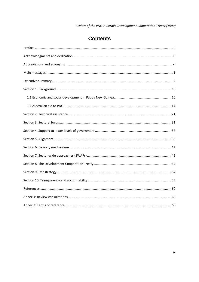# **Contents**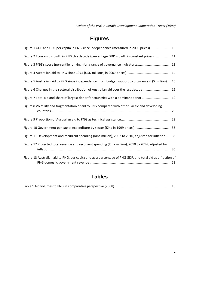*Review of the PNG‐Australia Development Cooperation Treaty (1999)* 

# **Figures**

| Figure 1 GDP and GDP per capita in PNG since independence (measured in 2000 prices)  10                    |
|------------------------------------------------------------------------------------------------------------|
| Figure 2 Economic growth in PNG this decade (percentage GDP growth in constant prices)  11                 |
| Figure 3 PNG's score (percentile ranking) for a range of governance indicators:  13                        |
|                                                                                                            |
| Figure 5 Australian aid to PNG since independence: from budget support to program aid (\$ million) 15      |
| Figure 6 Changes in the sectoral distribution of Australian aid over the last decade  16                   |
| Figure 7 Total aid and share of largest donor for countries with a dominant donor  19                      |
| Figure 8 Volatility and fragmentation of aid to PNG compared with other Pacific and developing             |
|                                                                                                            |
|                                                                                                            |
| Figure 11 Development and recurrent spending (Kina million), 2002 to 2010, adjusted for inflation  36      |
| Figure 12 Projected total revenue and recurrent spending (Kina million), 2010 to 2014, adjusted for        |
| Figure 13 Australian aid to PNG, per capita and as a percentage of PNG GDP, and total aid as a fraction of |

# **Tables**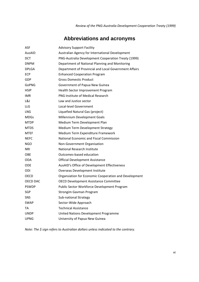# **Abbreviations and acronyms**

| <b>ASF</b>   | <b>Advisory Support Facility</b>                      |
|--------------|-------------------------------------------------------|
| AusAID       | Australian Agency for International Development       |
| <b>DCT</b>   | PNG-Australia Development Cooperation Treaty (1999)   |
| <b>DNPM</b>  | Department of National Planning and Monitoring        |
| <b>DPLGA</b> | Department of Provincial and Local Government Affairs |
| <b>ECP</b>   | <b>Enhanced Cooperation Program</b>                   |
| GDP          | <b>Gross Domestic Product</b>                         |
| GoPNG        | Government of Papua New Guinea                        |
| <b>HSIP</b>  | Health Sector Improvement Program                     |
| <b>IMR</b>   | <b>PNG Institute of Medical Research</b>              |
| L&J          | Law and Justice sector                                |
| LLG          | Local-level Government                                |
| <b>LNG</b>   | Liquefied Natural Gas (project)                       |
| <b>MDGs</b>  | Millennium Development Goals                          |
| <b>MTDP</b>  | Medium Term Development Plan                          |
| <b>MTDS</b>  | <b>Medium Term Development Strategy</b>               |
| <b>MTEF</b>  | Medium Term Expenditure Framework                     |
| <b>NEFC</b>  | National Economic and Fiscal Commission               |
| <b>NGO</b>   | Non-Government Organisation                           |
| <b>NRI</b>   | National Research Institute                           |
| <b>OBE</b>   | Outcomes-based education                              |
| <b>ODA</b>   | <b>Official Development Assistance</b>                |
| <b>ODE</b>   | AusAID's Office of Development Effectiveness          |
| ODI          | Overseas Development Institute                        |
| <b>OECD</b>  | Organsiation for Economic Cooperation and Development |
| OECD DAC     | <b>OECD Development Assistance Committee</b>          |
| <b>PSWDP</b> | Public Sector Workforce Development Program           |
| <b>SGP</b>   | <b>Strongim Gavman Program</b>                        |
| SNS          | Sub-national Strategy                                 |
| <b>SWAP</b>  | Sector-Wide Approach                                  |
| TA           | <b>Technical Assistance</b>                           |
| <b>UNDP</b>  | United Nations Development Programme                  |
| <b>UPNG</b>  | University of Papua New Guinea                        |

*Note: The \$ sign refers to Australian dollars unless indicated to the contrary.*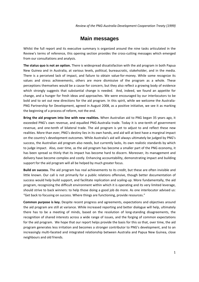### **Main messages**

Whilst the full report and its executive summary is organized around the nine tasks articulated in the Review's terms of reference, this opening section provides the cross-cutting messages which emerged from our consultations and analysis.

**The status quo is not an option.** There is widespread dissatisfaction with the aid program in both Papua New Guinea and in Australia, at various levels, political, bureaucratic, stakeholder, and in the media. There is a perceived lack of impact, and failure to obtain value-for-money. While some recognize its values and stress achievements, others are more dismissive of the program as a whole. These perceptions themselves would be a cause for concern, but they also reflect a growing body of evidence which strongly suggests that substantial change is needed. And, indeed, we found an appetite for change, and a hunger for fresh ideas and approaches. We were encouraged by our interlocutors to be bold and to set out new directions for the aid program. In this spirit, while we welcome the Australia-PNG Partnership for Development, agreed in August 2008, as a positive initiative, we see it as marking the beginning of a process of reform, not the end.

**Bring the aid program into line with new realities.** When Australian aid to PNG began 35 years ago, it exceeded PNG's own revenue, and equalled PNG-Australia trade. Today it is one-tenth of government revenue, and one-tenth of bilateral trade. The aid program is yet to adjust to and reflect these new realities. More than ever, PNG's destiny lies in its own hands, and aid will at best have a marginal impact on the country's development outcomes. While Australia's aid will always ultimately be judged by PNG's success, the Australian aid program also needs, but currently lacks, its own realistic standards by which to judge impact. Also, over time, as the aid program has become a smaller part of the PNG economy, it has been spread so thinly that its impact has become hard to discern. Moreover, its management and delivery have become complex and costly. Enhancing accountability, demonstrating impact and building support for the aid program will all be helped by much greater focus.

**Build on success.** The aid program has real achievements to its credit, but these are often invisible and little known. Our call is not primarily for a public relations offensive, though better documentation of success would help build support, and facilitate replication and scaling‐up. More fundamentally, the aid program, recognizing the difficult environment within which it is operating and its very limited leverage, should strive to back winners: to help those doing a good job do more. As one interlocutor advised us: "Get back to focusing on success. Where things are functioning, provide resources."

**Common purpose is key.** Despite recent progress and agreements, expectations and objectives around the aid program are still at variance. While increased reporting and better dialogue will help, ultimately there has to be a meeting of minds, based on the resolution of long‐standing disagreements, the recognition of shared interests across a wide range of issues, and the forging of common expectations for the aid program. We hope that our report helps provide the basis for this so that, over time, the aid program generates less irritation and becomes a stronger contributor to PNG's development, and to an increasingly multi‐faceted and integrated relationship between Australia and Papua New Guinea, close neighbours and old friends.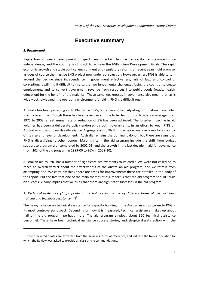### **Executive summary**

#### *1. Background*

Papua New Guinea's development prospects are uncertain. Income per capita has stagnated since independence, and the country is off-track to achieve the Millennium Development Goals. The rapid economic growth and stable political environment and regulatory reforms of recent years hold promise, as does of course the massive LNG project now under construction. However, unless PNG is able to turn around the decline since independence in government effectiveness, rule of law, and control of corruption, it will find it difficult to rise to the two fundamental challenges facing the country: to create employment, and to convert government revenue from resources into public goods (roads, health, education) for the benefit of the majority. These same weaknesses in governance also mean that, as is widely acknowledged, the operating environment for aid in PNG is a difficult one.

Australia has been providing aid to PNG since 1975, but at levels that, adjusting for inflation, have fallen sharply over time. Though there has been a recovery in the latter half of this decade, on average, from 1975 to 2008, a real annual rate of reduction of 3% has been achieved. The long‐term decline in aid volumes has been a deliberate policy endorsed by both governments, in an effort to wean PNG off Australian aid, and towards self‐reliance. Aggregate aid to PNG is now below average levels for a country of its size and level of development. Australia remains the dominant donor, but there are signs that PNG is diversifying to other donors. Major shifts in the aid program include the shift from budget support to program aid (completed by 2002‐03) and the growth in the last decade in aid for governance (from 20% of the aid program in 1999‐00 to 36% in 2009‐10).

Australian aid to PNG has a number of significant achievements to its credit. We were not called on to reach an overall verdict about the effectiveness of the Australian aid program, and we refrain from attempting one. We certainly think there are areas for improvement: these are detailed in the body of the report. But the fact that one of the main themes of our report is that the aid program should "build on success" clearly implies that we think that there are significant successes in the aid program.

### *2. Technical assistance ("appropriate future balance in the use of different forms of aid, including training and technical assistance...")<sup>1</sup>*

The heavy reliance on technical assistance for capacity building in the Australian aid program to PNG is its most controversial aspect. Depending on how it is measured, technical assistance makes up about half of the aid program, perhaps more. The aid program employs about 360 technical assistance personnel. There have been technical assistance success stories, and, despite dissatisfaction with the

 $1$  These bracketed quotes are extracted from the Review's terms of reference, and indicate the topics in relation to which the Review was asked to provide analysis and recommendations.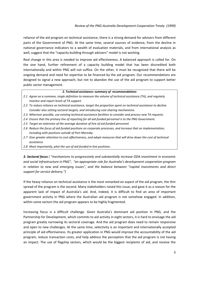reliance of the aid program on technical assistance, there is a strong demand for advisers from different parts of the Government of PNG. At the same time, several sources of evidence, from the decline in national governance indicators to a wealth of evaluation materials, and from international analysis as well, suggest that the "capacity building through advisers" model is not working.

Real change in this area is needed to improve aid effectiveness. A balanced approach is called for. On the one hand, further refinement of a capacity building model that has been discredited both internationally and within PNG will not suffice. On the other, it must be recognized that there will be ongoing demand and need for expertise to be financed by the aid program. Our recommendations are designed to signal a new approach, but not to abandon the use of the aid program to support better public sector management.

#### *2. Technical assistance: summary of recommendations*

- 2.1 Agree on a common, single definition to measure the volume of technical assistance (TA), and regularly *monitor and report levels of TA support.*
- *2.2 To reduce reliance on technical assistance, target the proportion spent on technical assistance to decline. Consider also setting sectoral targets, and introducing cost‐sharing mechanisms.*
- *2.3 Wherever possible, use existing technical assistance facilities to consider and process new TA requests.*
- 2.4 Ensure that the primary line of reporting for all aid-funded personnel is to the PNG Government.
- *2.5 Target an extension of the average duration of hire of aid‐funded personnel.*
- *2.6 Reduce the focus of aid‐funded positions on corporate processes, and increase that on implementation, including with positions outside of Port Moresby.*
- 2.7 Give greater attention to cost-effectiveness, and adopt measures that will drive down the cost of technical *assistance.*
- *2.8 Most importantly, pilot the use of aid‐funded in‐line positions.*

*3. Sectoral focus ( "mechanisms to progressively and substantially increase ODA investment in economic and social infrastructure in PNG", "an appropriate role for Australia's development cooperation program in relation to new and emerging issues", and the balance between "capital investments and direct support for service delivery.")*

If the heavy reliance on technical assistance is the most remarked‐on aspect of the aid program, the thin spread of the program is the second. Many stakeholders raised this issue, and gave it as a reason for the apparent lack of impact of Australia's aid. And, indeed, it is difficult to find an area of important government activity in PNG where the Australian aid program is not somehow engaged. In addition, within some sectors the aid program appears to be highly fragmented.

Increasing focus is a difficult challenge. Given Australia's dominant aid position in PNG, and the Partnership for Development, which commits to aid activity in eight sectors, it is hard to envisage the aid program greatly narrowing its sectoral coverage. And the aid program does need to remain responsive and open to new challenges. At the same time, selectivity is an important and internationally accepted principle of aid effectiveness. Its greater application in PNG would improve the accountability of the aid program, reduce transaction costs, and help address the perception that the aid program is not having an impact. The use of flagship sectors, which would be the biggest recipients of aid, and receive the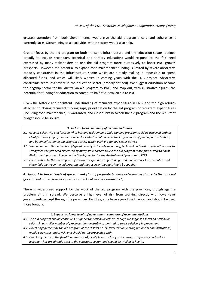greatest attention from both Governments, would give the aid program a core and coherence it currently lacks. Streamlining of aid activities within sectors would also help.

Greater focus by the aid program on both transport infrastructure and the education sector (defined broadly to include secondary, technical and tertiary education) would respond to the felt need expressed by many stakeholders to use the aid program more purposively to boost PNG growth prospects. However, the potential to expand road maintenance funding is limited by severe absorptive capacity constraints in the infrastructure sector which are already making it impossible to spend allocated funds, and which will likely worsen in coming years with the LNG project. Absorptive constraints seem less severe in the education sector (broadly defined). We suggest education become the flagship sector for the Australian aid program to PNG, and map out, with illustrative figures, the potential for funding for education to constitute half of Australian aid to PNG.

Given the historic and persistent underfunding of recurrent expenditure in PNG, and the high returns attached to closing recurrent funding gaps, prioritization by the aid program of recurrent expenditures (including road maintenance) is warranted, and closer links between the aid program and the recurrent budget should be sought.

#### *3. Sectoral focus: summary of recommendations*

- 3.1 Greater selectivity and focus in what has and will remain a wide-ranging program could be achieved both by identification of a flagship sector or sectors which would receive the largest share of funding and attention, *and by simplification of aid program activity within each aid‐funded sector as well.*
- 3.2 We recommend that education (defined broadly to include secondary, technical and tertiary education so as to *strengthen the felt need expressed by many stakeholders to use the aid program more purposively to boost PNG growth prospects) become the flagship sector for the Australian aid program to PNG.*
- *3.3 Prioritization by the aid program of recurrent expenditures (including road maintenance) is warranted, and closer links between the aid program and the recurrent budget should be sought.*

*4. Support to lower levels of government ("an appropriate balance between assistance to the national government and to provinces, districts and local level governments.")*

There is widespread support for the work of the aid program with the provinces, though again a problem of thin spread. We perceive a high level of risk from working directly with lower‐level governments, except through the provinces. Facility grants have a good track record and should be used more broadly.

#### *4. Support to lower levels of government: summary of recommendations*

- 4.1 The aid program should continue its support for provincial reform, though we suggest a focus on provincial *reform in a smaller number of provinces demonstrably committed to service‐delivery improvement.*
- *4.2 Direct engagement by the aid program at the District or LLG level (circumventing provincial administrations) would carry substantial risk, and should not be proceeded with.*
- 4.3 Direct payments to the (health or education) facility level are likely to increase transparency and reduce *leakage. They are already used in the education sector, and should be trialled in health.*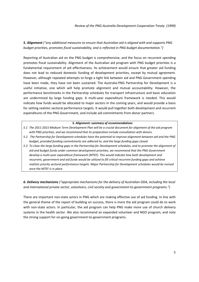*5. Alignment ("any additional measures to ensure that Australian aid is aligned with and supports PNG budget priorities, promotes fiscal sustainability, and is reflected in PNG budget documentation.")*

Reporting of Australian aid on the PNG budget is comprehensive, and the focus on recurrent spending promotes fiscal sustainability. Alignment of the Australian aid program with PNG budget priorities is a fundamental requirement of aid effectiveness. Its achievement would ensure that greater aid funding does not lead to reduced domestic funding of development priorities, except by mutual agreement. However, although repeated attempts to forge a tight link between aid and PNG Government spending have been made, they have not been sustained. The Australia‐PNG Partnership for Development is a useful initiative, one which will help promote alignment and mutual accountability. However, the performance benchmarks in the Partnership schedules for transport infrastructure and basic education are undermined by large funding gaps. A multi-year expenditure framework is needed. This would indicate how funds would be allocated to major sectors in the coming years, and would provide a basis for setting realistic sectoral performance targets. It would pull together both development and recurrent expenditures of the PNG Government, and include aid commitments from donor partners.

#### *5. Alignment: summary of recommendations*

- 5.1 The 2011-2015 Medium Term Development Plan will be a crucial document for alignment of the aid program *with PNG priorities, and we recommend that its preparation include consultation with donors.*
- 5.2 The Partnership for Development schedules have the potential to improve alignment between aid and the PNG *budget, provided funding commitments are adhered to, and the large funding gaps closed.*
- 5.3 To close the large funding gaps in the Partnership for Development schedules, and to promote the alignment of *aid and budget funds under common development priorities, we recommend that the PNG Government develop a multi‐year expenditure framework (MTEF). This would indicate how both development and recurrent, government and aid funds would be utilized to fill critical recurrent funding gaps and achieve realistic priority sectoral performance targets. Major Partnership for Development schedules would be revised once the MTEF is in place.*

*6. Delivery mechanisms ("appropriate mechanisms for the delivery of Australian ODA, including the local and international private sector, volunteers, civil society and government‐to‐government programs.")*

There are important non‐state actors in PNG which are making effective use of aid funding. In line with the general theme of the report of building on success, there is more the aid program could do to work with non-state actors. In particular, the aid program can help PNG make more use of church delivery systems in the health sector. We also recommend an expanded volunteer and NGO program, and note the strong support for on‐going government‐to‐government programs.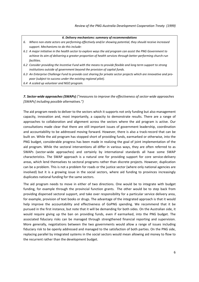#### *6. Delivery mechanisms: summary of recommendations*

- *6. Where non‐state actors are performing effectively and/or showing potential, they should receive increased support. Mechanisms to do this include:*
- 6.1 A major initiative in the health sector to explore ways the aid program can assist the PNG Government to achieve its aim of delivering a greater proportion of health services through better-performing church-run *facilities.*
- 6.2 Consider providing the Incentive Fund with the means to provide flexible and long term support to strong *institutions outside of government beyond the provision of capital funds.*
- 6.3 An Enterprise Challenge Fund to provide cost sharing for private sector projects which are innovative and pro*poor (subject to success under the existing regional pilot).*
- *6.4 A scaled up volunteer and NGO program.*

### *7. Sector‐wide approaches (SWAPs) ("measures to improve the effectiveness of sector‐wide approaches [SWAPs] including possible alternatives.")*

The aid program needs to deliver to the sectors which it supports not only funding but also management capacity, innovation and, most importantly, a capacity to demonstrate results. There are a range of approaches to collaboration and alignment across the sectors where the aid program is active. Our consultations made clear that there are still important issues of government leadership, coordination and accountability to be addressed moving forward. However, there is also a track‐record that can be built on. While the aid program has stopped short of providing funds, earmarked or otherwise, into the PNG budget, considerable progress has been made in realizing the goal of joint implementation of the aid program. While the sectoral interventions all differ in various ways, they are often referred to as SWAPs (sector‐wide approaches) and certainly by international standards all have some SWAP characteristics. The SWAP approach is a natural one for providing support for core service-delivery areas, which lend themselves to sectoral programs rather than discrete projects. However, duplication can be a problem. This is not a problem for roads or the justice sector (where only national agencies are involved) but it is a growing issue in the social sectors, where aid funding to provinces increasingly duplicates national funding for the same sectors.

The aid program needs to move in either of two directions. One would be to integrate with budget funding, for example through the provincial function grants. The other would be to step back from providing dispersed sectoral support, and take over responsibility for a particular service delivery area, for example, provision of text books or drugs. The advantage of the integrated approach is that it would help improve the accountability and effectiveness of GoPNG spending. We recommend that it be pursued in the first instance, but note that it will be demanding for both sides. On the Australian side, it would require giving up the ban on providing funds, even if earmarked, into the PNG budget. The associated fiduciary risks can be managed through strengthened financial reporting and supervision. More generally, negotiations between the two governments would allow a range of issues including fiduciary risk to be openly addressed and managed to the satisfaction of both parties. On the PNG side, replacing parallel by integrated systems in the social sectors would mean allowing aid money to flow to the recurrent rather than the development budget.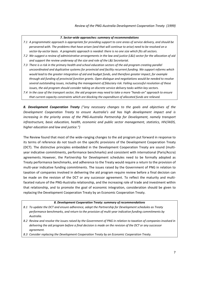#### *7. Sector‐wide approaches: summary of recommendations*

- 7.1 A programmatic approach is appropriate for providing support to core areas of service delivery, and should be persevered with. The problems that have arisen (and that will continue to arise) need to be resolved on a sector-by-sector basis. A pragmatic approach is needed: there is no one size which fits all sectors.
- 7.2 We suggest a review of administrative arrangements in the law and justice (L&J) sector for the allocation of aid *and support the review underway of the size and role of the L&J Secretariat.*
- 7.3 There is a risk in the primary health and school education sectors of the aid program creating parallel *uncoordinated and duplicative systems for provincial and facility recurrent funding. We support reforms which would lead to the greater integration of aid and budget funds, and therefore greater impact, for example through aid funding of provincial function grants. Open dialogue and negotiations would be needed to resolve several outstanding issues, including the management of fiduciary risk. Failing successful resolution of these issues, the aid program should consider taking on discrete service delivery tasks within key sectors.*
- 7.4 In the case of the transport sector, the aid program may need to take a more "hands-on" approach to ensure *that current capacity constraints which are blocking the expenditure of allocated funds are relieved.*

*8. Development Cooperation Treaty ("any necessary changes to the goals and objectives of the Development Cooperation Treaty to ensure Australia's aid has high development impact and is increasing in the priority areas of the PNG‐Australia Partnership for Development, namely transport infrastructure, basic education, health, economic and public sector management, statistics, HIV/AIDS, higher education and law and justice.")*

The Review found that most of the wide-ranging changes to the aid program put forward in response to its terms of reference do not touch on the specific provisions of the Development Cooperation Treaty (DCT). The distinctive principles embedded in the Development Cooperation Treaty are sound (multi‐ year indicative commitments, performance benchmarks) and consistent with international (Paris/Accra) agreements. However, the Partnership for Development schedules need to be formally adopted as Treaty performance benchmarks, and adherence to the Treaty would require a return to the provision of multi-year indicative funding commitments. The issues raised by the Government of PNG in relation to taxation of companies involved in delivering the aid program require review before a final decision can be made on the revision of the DCT or any successor agreement. To reflect the maturity and multifaceted nature of the PNG‐Australia relationship, and the increasing role of trade and investment within that relationship, and to promote the goal of economic integration, consideration should be given to replacing the Development Cooperation Treaty by an Economic Cooperation Treaty.

#### *8. Development Cooperation Treaty: summary of recommendations*

- *8.1 To update the DCT and ensure adherence, adopt the Partnership for Development schedules as Treaty performance benchmarks, and return to the provision of multi‐year indicative funding commitments by Australia.*
- 8.2 Review and resolve the issues raised by the Government of PNG in relation to taxation of companies involved in delivering the aid program before a final decision is made on the revision of the DCT or any successor *agreement.*
- *8.3 Consider replacing the Development Cooperation Treaty by an Economic Cooperation Treaty.*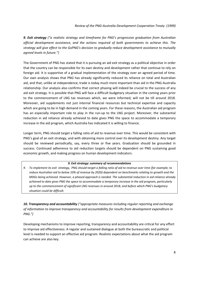*9. Exit strategy ("a realistic strategy and timeframe for PNG's progressive graduation from Australian official development assistance, and the actions required of both governments to achieve this. The strategy will give effect to the GoPNG's decision to gradually reduce development assistance to mutually agreed levels in future.")*

The Government of PNG has stated that it is pursuing an aid exit strategy as a political objective in order that the country can be responsible for its own destiny and development rather that continue to rely on foreign aid. It is supportive of a gradual implementation of the strategy over an agreed period of time. Our own analysis shows that PNG has already significantly reduced its reliance on total and Australian aid, and that, unlike at independence, trade is today much more important than aid in the PNG‐Australia relationship. Our analysis also confirms that correct phasing will indeed be crucial to the success of any aid exit strategy. It is possible that PNG will face a difficult budgetary situation in the coming years prior to the commencement of LNG tax revenues which, we were informed, will not be till around 2018. Moreover, aid supplements not just internal financial resources but technical expertise and capacity which are going to be in high demand in the coming years. For these reasons, the Australian aid program has an especially important role to play in the run-up to the LNG project. Moreover, the substantial reduction in aid reliance already achieved to date gives PNG the space to accommodate a temporary increase in the aid program, which Australia has indicated it is willing to finance.

Longer term, PNG should target a falling ratio of aid to revenue over time. This would be consistent with PNG's goal of an exit strategy, and with obtaining more control over its development destiny. Any target should be reviewed periodically, say, every three or five years. Graduation should be grounded in success. Continued adherence to aid reduction targets should be dependent on PNG sustaining good economic growth, and making progress on human development indicators.

#### *9. Exit strategy: summary of recommendations*

9. To implement its exit strategy, PNG should target a falling ratio of aid to revenue over time (for example, to reduce Australian aid to below 10% of revenue by 2020) dependent on benchmarks relating to growth and the *MDGs being achieved. However, a phased approach is needed. The substantial reduction in aid reliance already achieved to date gives PNG the space to accommodate a temporary increase in the aid program, particularly up to the commencement of significant LNG revenues in around 2018, and before which PNG's budgetary situation could be difficult.* 

*10. Transparency and accountability ("appropriate measures including regular reporting and exchange of information to improve transparency and accountability for results from development expenditure in PNG.")*

Developing mechanisms to improve reporting, transparency and accountability are critical for any effort to improve aid effectiveness. A regular and sustained dialogue at both the bureaucratic and political level is needed to support an effective aid program. Realistic expectations about what the aid program can achieve are also key.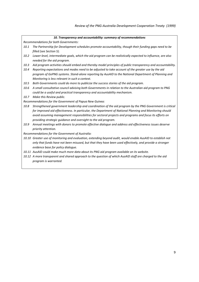|  |  |  |  | 10. Transparency and accountability: summary of recommendations |
|--|--|--|--|-----------------------------------------------------------------|
|--|--|--|--|-----------------------------------------------------------------|

*Recommendations for both Governments:*

- *10.1 The Partnership for Development schedules promote accountability, though their funding gaps need to be filled (see Section 5).*
- 10.2 Lower-level, intermediate goals, which the aid program can be realistically expected to influence, are also *needed for the aid program.*
- 10.3 Aid program activities should embed and thereby model principles of public transparency and accountability.
- 10.4 Reporting expectations and modes need to be adjusted to take account of the greater use by the aid *program of GoPNG systems. Stand‐alone reporting by AusAID to the National Department of Planning and Monitoring is less relevant in such a context.*
- *10.5 Both Governments could do more to publicize the success stories of the aid program.*
- 10.6 A small consultative council advising both Governments in relation to the Australian aid program to PNG *could be a useful and practical transparency and accountability mechanism.*
- *10.7 Make this Review public.*

*Recommendations for the Government of Papua New Guinea:*

- *10.8 Strengthened government leadership and coordination of the aid program by the PNG Government is critical for improved aid effectiveness. In particular, the Department of National Planning and Monitoring should avoid assuming management responsibilities for sectoral projects and programs and focus its efforts on providing strategic guidance and oversight to the aid program.*
- *10.9 Annual meetings with donors to promote effective dialogue and address aid effectiveness issues deserve priority attention.*

*Recommendations for the Government of Australia:*

- *10.10 Greater use of monitoring and evaluation, extending beyond audit, would enable AusAID to establish not* only that funds have not been misused, but that they have been used effectively, and provide a stronger *evidence base for policy dialogue.*
- *10.11 AusAID could make much more data about its PNG aid program available on its website.*
- 10.12 A more transparent and shared approach to the question of which AusAID staff are charged to the aid *program is warranted.*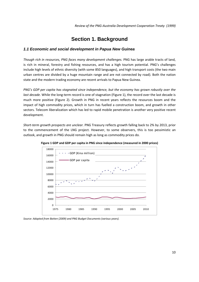# **Section 1. Background**

### *1.1 Economic and social development in Papua New Guinea*

*Though rich in resources, PNG faces many development challenges.* PNG has large arable tracts of land, is rich in mineral, forestry and fishing resources, and has a high tourism potential. PNG's challenges include high levels of ethnic diversity (with some 850 languages), and high transport costs (the two main urban centres are divided by a huge mountain range and are not connected by road). Both the nation state and the modern trading economy are recent arrivals to Papua New Guinea.

*PNG's GDP per capita has stagnated since independence, but the economy has grown robustly over the last decade.* While the long-term record is one of stagnation (Figure 1), the record over the last decade is much more positive (Figure 2). Growth in PNG in recent years reflects the resources boom and the impact of high commodity prices, which in turn has fuelled a construction boom, and growth in other sectors. Telecom liberalization which has led to rapid mobile penetration is another very positive recent development.

*Short‐term growth prospects are unclear.* PNG Treasury reflects growth falling back to 2% by 2013, prior to the commencement of the LNG project. However, to some observers, this is too pessimistic an outlook, and growth in PNG should remain high as long as commodity prices do.



**Figure 1 GDP and GDP per capita in PNG since independence (measured in 2000 prices)**

*Source: Adapted from Batten (2009) and PNG Budget Documents (various years).*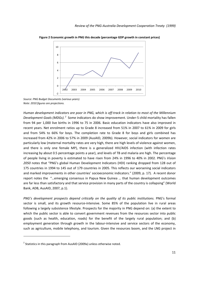

**Figure 2 Economic growth in PNG this decade (percentage GDP growth in constant prices)**

*Source: PNG Budget Documents (various years). Note: 2010 figures are projections.*

Human development indicators are poor in PNG, which is off-track in relation to most of the Millennium Development Goals (MDGs).<sup>2</sup> Some indicators do show improvement. Under-5 child mortality has fallen from 94 per 1,000 live births in 1996 to 75 in 2006. Basic education indicators have also improved in recent years. Net enrolment ratios up to Grade 8 increased from 51% in 2007 to 61% in 2009 for girls and from 54% to 66% for boys. The completion rate to Grade 8 for boys and girls combined has increased from 42% in 2006 to 57% in 2009 (AusAID, 2009b). However, social indicators for women are particularly low (maternal mortality rates are very high, there are high levels of violence against women, and there is only one female MP), there is a generalized HIV/AIDS infection (with infection rates increasing by about 0.5 percentage points a year), and levels of TB and malaria are high. The percentage of people living in poverty is estimated to have risen from 24% in 1996 to 40% in 2002. PNG's *Vision 2050* notes that "PNG's global Human Development Indicators (HDI) ranking dropped from 128 out of 175 countries in 1994 to 145 out of 179 countries in 2005. This reflects our worsening social indicators and marked improvements in other countries' socioeconomic indicators." (2009, p. 17). A recent donor report notes the "…emerging consensus in Papua New Guinea … that human development outcomes are far less than satisfactory and that service provision in many parts of the country is collapsing" (World Bank, ADB, AusAID, 2007, p.1).

*PNG's development prospects depend critically on the quality of its public institutions.* PNG's formal sector is small, and its growth resource-intensive. Some 85% of the population live in rural areas following a largely subsistence lifestyle. Prospects for the majority in PNG depend on: (a) the extent to which the public sector is able to convert government revenues from the resources sector into public goods (such as health, education, roads) for the benefit of the largely rural population; and (b) employment generation through growth in the labour-intensive and service sectors of the economy, such as agriculture, mobile telephony, and tourism. Given the resources boom, and the LNG project in

 $2$  Statistics in this paragraph from AusAID (2009a) unless otherwise noted.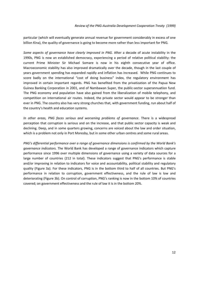particular (which will eventually generate annual revenue for government considerably in excess of one billion Kina), the quality of governance is going to become more rather than less important for PNG.

*Some aspects of governance have clearly improved in PNG*. After a decade of acute instability in the 1990s, PNG is now an established democracy, experiencing a period of relative political stability: the current Prime Minister Sir Michael Somare is now in his eighth consecutive year of office. Macroeconomic stability has also improved dramatically over the decade, though in the last couple of years government spending has expanded rapidly and inflation has increased. While PNG continues to score badly on the international "cost of doing business" index, the regulatory environment has improved in certain important regards. PNG has benefited from the privatization of the Papua New Guinea Banking Corporation in 2001, and of Nambawan Super, the public‐sector superannuation fund. The PNG economy and population have also gained from the liberalization of mobile telephony, and competition on international air routes. Indeed, the private sector would appear to be stronger than ever in PNG. The country also has very strong churches that, with government funding, run about half of the country's health and education systems.

*In other areas, PNG faces serious and worsening problems of governance*. There is a widespread perception that corruption is serious and on the increase, and that public sector capacity is weak and declining. Deep, and in some quarters growing, concerns are voiced about the law and order situation, which is a problem not only in Port Moresby, but in some other urban centres and some rural areas.

*PNG's differential performance over a range of governance dimensions is confirmed by the World Bank's governance indicators.* The World Bank has developed a range of governance indicators which capture performance since 1996 over multiple dimensions of governance using a variety of data sources for a large number of countries (212 in total). These indicators suggest that PNG's performance is stable and/or improving in relation to indicators for voice and accountability, political stability and regulatory quality (Figure 3a). For these indicators, PNG is in the bottom third to half of all countries. But PNG's performance in relation to corruption, government effectiveness, and the rule of law is low and deteriorating (Figure 3b). On control of corruption, PNG's ranking is now in the bottom 10% of countries covered; on government effectiveness and the rule of law it is in the bottom 20%.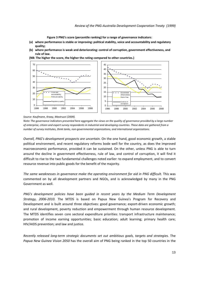**Figure 3 PNG's score (percentile ranking) for a range of governance indicators**:

- **(a) where performance is stable or improving: political stability, voice and accountability and regulatory quality;**
- **(b) where performance is weak and deteriorating: control of corruption, government effectiveness, and rule of law.**

**(NB: The higher the score, the higher the rating compared to other countries.)**



#### *Source: Kaufmann, Kraay, Mastruzzi (2009).*

Note: The governance indicators presented here aggregate the views on the quality of governance provided by a large number of enterprise, citizen and expert survey respondents in industrial and developing countries. These data are gathered from a *number of survey institutes, think tanks, non‐governmental organizations, and international organizations.* 

*Overall, PNG's development prospects are uncertain.* On the one hand, good economic growth, a stable political environment, and recent regulatory reforms bode well for the country, as does the improved macroeconomic performance, provided it can be sustained. On the other, unless PNG is able to turn around the decline in government effectiveness, rule of law, and control of corruption, it will find it difficult to rise to the two fundamental challenges noted earlier: to expand employment, and to convert resource revenue into public goods for the benefit of the majority.

*The same weaknesses in governance make the operating environment for aid in PNG difficult.* This was commented on by all development partners and NGOs, and is acknowledged by many in the PNG Government as well.

*PNG's development policies have been guided in recent years by the Medium Term Development Strategy, 2006‐2010.* The MTDS is based on Papua New Guinea's Program for Recovery and Development and is built around three objectives: good governance: export-driven economic growth; and rural development, poverty reduction and empowerment through human resource development. The MTDS identifies seven core sectoral expenditure priorities: transport infrastructure maintenance; promotion of income earning opportunities; basic education; adult learning; primary health care; HIV/AIDS prevention; and law and justice.

*Recently released long‐term strategic documents set out ambitious goals, targets and strategies.* The *Papua New Guinea Vision 2050* has the overall aim of PNG being ranked in the top 50 countries in the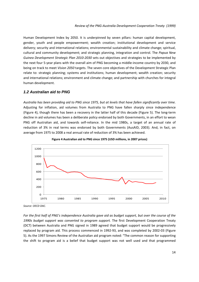Human Development Index by 2050. It is underpinned by seven pillars: human capital development, gender, youth and people empowerment; wealth creation; institutional development and service delivery; security and international relations; environmental sustainability and climate change; spiritual, cultural and community development; and strategic planning, integration and control. The *Papua New Guinea Development Strategic Plan 2010‐2030* sets out objectives and strategies to be implemented by the next four 5-year plans with the overall aim of PNG becoming a middle-income country by 2030, and being on track to meet *Vision 2050* targets. The seven core objectives of the Development Strategic Plan relate to: strategic planning; systems and institutions; human development; wealth creation; security and international relations; environment and climate change; and partnership with churches for integral human development.

### *1.2 Australian aid to PNG*

Australia has been providing aid to PNG since 1975, but at levels that have fallen significantly over time. Adjusting for inflation, aid volumes from Australia to PNG have fallen sharply since independence (Figure 4), though there has been a recovery in the latter half of this decade (Figure 5). The long‐term decline in aid volumes has been a deliberate policy endorsed by both Governments, in an effort to wean PNG off Australian aid, and towards self-reliance. In the mid 1980s, a target of an annual rate of reduction of 3% in real terms was endorsed by both Governments (AusAID, 2003). And, in fact, on average from 1975 to 2008 a real annual rate of reduction of 3% has been achieved.





*Source: OECD DAC.*

For the first half of PNG's independence Australia gave aid as budget support, but over the course of the *1990s budget support was converted to program support.* The first Development Cooperation Treaty (DCT) between Australia and PNG signed in 1989 agreed that budget support would be progressively replaced by program aid. This process commenced in 1992‐93, and was completed by 2002‐03 (Figure 5). As the 1997 Simons Review of the Australian aid program noted: "The common reason for supporting the shift to program aid is a belief that budget support was not well used and that programmed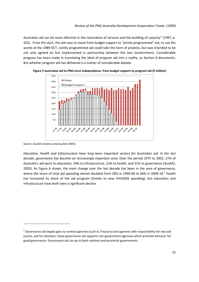Australian aid can be more effective in the restoration of services and the building of capacity" (1997, p. 102). From the start, the aim was to move from budget support to "jointly programmed" aid, to use the words of the 1989 DCT. Jointly programmed aid could take the form of projects, but was intended to be not only agreed on but implemented in partnership between the two Governments. Considerable progress has been made in translating the ideal of program aid into a reality, as Section 8 documents. But whether program aid has delivered is a matter of considerable debate.



**Figure 5 Australian aid to PNG since independence: from budget support to program aid (\$ million)**

*Education, health and infrastructure have long been important sectors for Australian aid. In the last decade, governance has become an increasingly important area.* Over the period 1975 to 2002, 27% of Australia's aid went to education, 24% to infrastructure, 12% to health, and 21% to governance (AusAID, 2003). As Figure 6 shows, the main change over the last decade has been in the area of governance, where the share of total aid spending almost doubled from 20% in 1999-00 to 36% in 2009-10.<sup>3</sup> Health has increased its share of the aid program (thanks to new HIV/AIDS spending), but education and infrastructure have both seen a significant decline.

*Source: AusAID statistics and AusAID (2003).*

<sup>&</sup>lt;sup>3</sup> Governance aid largely goes to central agencies (such as Treasury) and agencies with responsibility for law and justice, and for elections. Some governance aid supports non‐government agencies which promote demand for good governance. Governance aid can go to both national and provincial governments.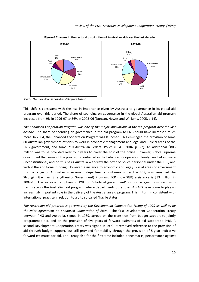

**Figure 6 Changes in the sectoral distribution of Australian aid over the last decade**

*Source: Own calculations based on data from AusAID.*

This shift is consistent with the rise in importance given by Australia to governance in its global aid program over this period. The share of spending on governance in the global Australian aid program increased from 9% in 1996‐97 to 36% in 2005‐06 (Duncan, Howes and Williams, 2005, p.14).

*The Enhanced Cooperation Program was one of the major innovations in the aid program over the last decade.* The share of spending on governance in the aid program to PNG could have increased much more. In 2004, the Enhanced Cooperation Program was launched. This envisaged the provision of some 60 Australian government officials to work in economic management and legal and judicial areas of the PNG government, and some 210 Australian Federal Police (DFAT, 2004, p. 22). An additional \$805 million was to be provided over four years to cover the cost of the police. However, PNG's Supreme Court ruled that some of the provisions contained in the Enhanced Cooperation Treaty (see below) were unconstitutional, and on this basis Australia withdrew the offer of police personnel under the ECP, and with it the additional funding. However, assistance to economic and legal/judicial areas of government from a range of Australian government departments continues under the ECP, now renamed the Strongim Gavman (Strengthening Government) Program. ECP (now SGP) assistance is \$33 million in 2009‐10. The increased emphasis in PNG on 'whole of government' support is again consistent with trends across the Australian aid program, where departments other than AusAID have come to play an increasingly important role in the delivery of the Australian aid program. This in turn in consistent with international practice in relation to aid to so-called 'fragile states.'

*The Australian aid program is governed by the Development Cooperation Treaty of 1999 as well as by the Joint Agreement on Enhanced Cooperation of 2004.*  The first Development Cooperation Treaty between PNG and Australia, signed in 1989, agreed on the transition from budget support to jointly programmed aid, and on the provision of five years of forward estimates of aid support to PNG. A second Development Cooperation Treaty was signed in 1999. It removed reference to the provision of aid through budget support, but still provided for stability through the provision of 5‐year indicative forward estimates for aid. The Treaty also for the first time included benchmarks, performance against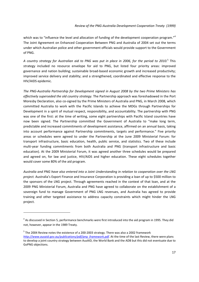which was to "influence the level and allocation of funding of the development cooperation program."<sup>4</sup> The Joint Agreement on Enhanced Cooperation Between PNG and Australia of 2004 set out the terms under which Australian police and other government officials would provide support to the Government of PNG.

A country strategy for Australian aid to PNG was put in place in 2006, for the period to 2010.<sup>5</sup> This strategy included no resource envelope for aid to PNG, but listed four priority areas: improved governance and nation building; sustainable broad‐based economic growth and increased productivity; improved service delivery and stability; and a strengthened, coordinated and effective response to the HIV/AIDS epidemic.

*The PNG‐Australia Partnership for Development signed in August 2008 by the two Prime Ministers has effectively superseded the old country strategy.* The Partnership approach was foreshadowed in the Port Moresby Declaration, also co‐signed by the Prime Ministers of Australia and PNG, in March 2008, which committed Australia to work with the Pacific Islands to achieve the MDGs through Partnerships for Development in a spirit of mutual respect, responsibility, and accountability. The partnership with PNG was one of the first: at the time of writing, some eight partnerships with Pacific Island countries have now been signed. The Partnership committed the Government of Australia to "make long term, predictable and increased commitments of development assistance, affirmed on an annual basis, taking into account performance against Partnership commitments, targets and performance." Five priority areas or schedules were agreed to under the Partnership at the June 2009 Ministerial Forum: for transport infrastructure, basic education, health, public service, and statistics. Two of these include multi‐year funding commitments from both Australia and PNG (transport infrastructure and basic education). At the 2009 Ministerial Forum, it was agreed another three schedules would be prepared and agreed on, for law and justice, HIV/AIDS and higher education. These eight schedules together would cover some 80% of the aid program.

*Australia and PNG have also entered into a Joint Understanding in relation to cooperation over the LNG project.* Australia's Export Finance and Insurance Corporation is providing a loan of up to \$500 million to the sponsors of the LNG project. Through agreements reached in the context of that loan, and at the 2009 PNG Ministerial Forum, Australia and PNG have agreed to collaborate on the establishment of a sovereign fund to manage Government of PNG LNG revenues, and Australia has agreed to provide training and other targeted assistance to address capacity constraints which might hinder the LNG project.

<sup>&</sup>lt;sup>4</sup> As discussed in Section 5, performance benchmarks were first introduced into the aid program in 1995. They did not, however, appear in the 1989 Treaty.

<sup>&</sup>lt;sup>5</sup> The 2004 Review notes the existence of a 200-2003 strategy. There was also a 2002 framework *http://www.ausaid.gov.au/publications/pdf/png\_framework.pdf*. At the time of the last Review, there were plans to develop a joint country strategy between AusAID, the World Bank and the ADB but this did not eventuate due to GoPNG objections.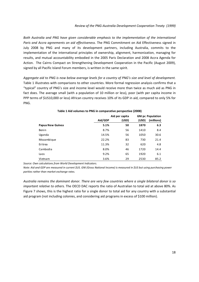*Both Australia and PNG have given considerable emphasis to the implementation of the international Paris and Accra agreements on aid effectiveness.* The PNG Commitment on Aid Effectiveness signed in July 2008 by PNG and many of its development partners, including Australia, commits to the implementation of the international principles of ownership, alignment, harmonization, managing for results, and mutual accountability embodied in the 2005 Paris Declaration and 2008 Accra Agenda for Action. The Cairns Compact on Strengthening Development Cooperation in the Pacific (August 2009), signed by all Pacific Island Forum members, is written in the same spirit.

Aggregate aid to PNG is now below average levels for a country of PNG's size and level of development. Table 1 illustrates with comparisons to other countries. More formal regression analysis confirms that a "typical" country of PNG's size and income level would receive more than twice as much aid as PNG in fact does. The average small (with a population of 10 million or less), poor (with per capita income in PPP terms of \$US10,000 or less) African country receives 10% of its GDP in aid, compared to only 5% for PNG.

|                  | Aid per capita |       | <b>GNI pc Population</b> |            |
|------------------|----------------|-------|--------------------------|------------|
|                  | Aid/GDP        | (USD) | (USD)                    | (millions) |
| Papua New Guinea | 5.1%           | 50    | 1870                     | 6.3        |
| Benin            | 8.7%           | 56    | 1410                     | 8.4        |
| Uganda           | 14.5%          | 56    | 1050                     | 30.6       |
| Mozambique       | 22.2%          | 83    | 730                      | 21.4       |
| Eritrea          | 11.3%          | 32    | 620                      | 4.8        |
| Cambodia         | 8.0%           | 46    | 1720                     | 14.4       |
| Laos             | 9.2%           | 65    | 1920                     | 6.1        |
| Vietnam          | 3.6%           | 29    | 2530                     | 85.2       |

### **Table 1 Aid volumes to PNG in comparative perspective (2008)**

*Source: Own calculations from World Development Indicators.* 

Note: Aid and GDP are measured in current \$US. GNI (Gross National Income) is measured in \$US but using purchasing power *parities rather than market exchange rates.* 

*Australia remains the dominant donor. There are very few countries where a single bilateral donor is so important relative to others.* The OECD DAC reports the ratio of Australian to total aid at above 80%. As Figure 7 shows, this is the highest ratio for a single donor to total aid for any country with a substantial aid program (not including colonies, and considering aid programs in excess of \$100 million).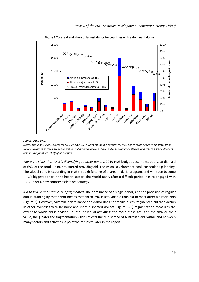

**Figure 7 Total aid and share of largest donor for countries with a dominant donor**

#### *Source: OECD DAC.*

Notes: The year is 2008, except for PNG which is 2007. Data for 2008 is atypical for PNG due to large negative aid flows from Japan. Countries covered are those with an aid program above \$US100 million, excluding colonies, and where a single donor is *responsible for at least half of all aid flows.*

*There are signs that PNG is diversifying to other donors.* 2010 PNG budget documents put Australian aid at 68% of the total. China has started providing aid. The Asian Development Bank has scaled up lending. The Global Fund is expanding in PNG through funding of a large malaria program, and will soon become PNG's biggest donor in the health sector. The World Bank, after a difficult period, has re-engaged with PNG under a new country assistance strategy.

*Aid to PNG is very stable, but fragmented.* The dominance of a single donor, and the provision of regular annual funding by that donor means that aid to PNG is less volatile than aid to most other aid recipients (Figure 8). However, Australia's dominance as a donor does not result in less fragmented aid than occurs in other countries with far more and more dispersed donors (Figure 8). (Fragmentation measures the extent to which aid is divided up into individual activities: the more these are, and the smaller their value, the greater the fragmentation.) This reflects the thin spread of Australian aid, within and between many sectors and activities, a point we return to later in the report.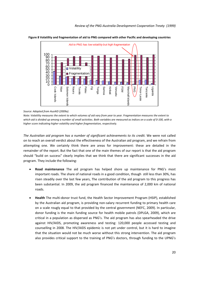

**Figure 8 Volatility and fragmentation of aid to PNG compared with other Pacific and developing countries**

#### *Source: Adapted from AusAID (2009a).*

Note: Volatility measures the extent to which volumes of aid vary from year to year. Fragmentation measures the extent to which aid is divided up among a number of small activities. Both variables are measured as indices on a scale of 0-100, with a *higher score indicating higher volatility and higher fragmentation, respectively.*

*The Australian aid program has a number of significant achievements to its credit.* We were not called on to reach an overall verdict about the effectiveness of the Australian aid program, and we refrain from attempting one. We certainly think there are areas for improvement: these are detailed in the remainder of the report. But the fact that one of the main themes of our report is that the aid program should "build on success" clearly implies that we think that there are significant successes in the aid program. They include the following:

- **Road maintenance** The aid program has helped shore up maintenance for PNG's most important roads. The share of national roads in a good condition, though still less than 30%, has risen steadily over the last few years, The contribution of the aid program to this progress has been substantial. In 2009, the aid program financed the maintenance of 2,000 km of national roads.
- **Health** The multi‐donor trust fund, the Health Sector Improvement Program (HSIP), established by the Australian aid program, is providing non‐salary recurrent funding to primary health care on a scale rougly equal to that provided by the central government (NEFC, 2009). In particular, donor funding is the main funding source for health mobile patrols (DPLGA, 2009), which are critical in a population as dispersed as PNG's. The aid program has also spearheaded the drive against HIV/AIDS, promoting awareness and testing: 120,000 people accessed testing and counselling in 2008. The HIV/AIDS epidemic is not yet under control, but it is hard to imagine that the situation would not be much worse without this strong intervention. The aid program also provides critical support to the training of PNG's doctors, through funding to the UPNG's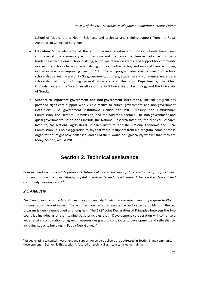School of Medicine and Health Sciences, and technical and training support from the Royal Australasian College of Surgeons.

- **Education** Some elements of the aid program's assistance to PNG's schools have been controversial (the elementary school reforms and the new curriculum in particular). But aid‐ funded teacher training, school building, school maintenance grants, and support for community oversight of schools have provided strong support to the sector, and national basic schooling indicators are now improving (Section 1.1). The aid program also awards over 100 tertiary scholarships a year. Many of PNG's government, business, academia and community leaders are scholarship alumni, including several Ministers and Heads of Departments, the Chief Ombudsman, and the Vice Chancellors of the PNG University of Technology and the University of Goroka.
- **Support to important government and non‐government institutions.** The aid program has provided significant support with visible results to critical government and non‐government institutions. The government institutions include the PNG Treasury, the Ombudsman Commission, the Electoral Commission, and the Auditor General's. The non‐government and quasi‐governmental institutions include the National Research Institute, the Medical Research Institute, the National Agricultural Research Institute, and the National Economic and Fiscal Commission. It is no exaggeration to say that without support from aid program, some of these organizations might have collapsed, and all of them would be significantly weaker than they are today. So, too, would PNG.

## **Section 2. Technical assistance**

*Consider and recommend: "appropriate future balance in the use of different forms of aid, including training and technical assistance, capital investments and direct support for service delivery and community development." <sup>6</sup>*

### *2.1 Analysis*

*The heavy reliance on technical assistance for capacity building in the Australian aid program to PNG is its most controversial aspect.* The emphasis on technical assistance and capacity building in the aid program is deeply embedded and long held. The 1987 Joint Declaration of Principles between the two countries includes as one of its nine basic principles that: "Development co-operation will comprise a wide-ranging combination of agreed measures designed to contribute to development and self-reliance, including capacity building, in Papua New Guinea."

 $6$  Issues relating to capital investment and support for service delivery are addressed in Section 3 and community development in Section 6. This section is focused on technical assistance, including training.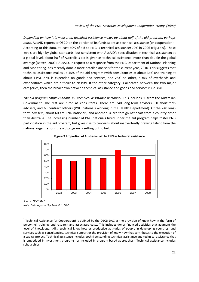*Depending on how it is measured, technical assistance makes up about half of the aid program, perhaps more.* AusAID reports to OECD on the portion of its funds spent as technical assistance (or cooperation).<sup>7</sup> According to this data, at least 50% of aid to PNG is technical assistance; 70% in 2006 (Figure 9). These levels are high by global standards, but consistent with AusAID's specialization in technical assistance: at a global level, about half of Australia's aid is given as technical assistance, more than double the global average (Batten, 2009). AusAID, in request to a response from the PNG Department of National Planning and Monitoring, has recently done a more detailed analysis for the current year, 2010. This suggests that technical assistance makes up 45% of the aid program (with consultancies at about 34% and training at about 11%). 27% is expended on goods and services, and 28% on other, a mix of overheads and expenditures which are difficult to classify. If the other category is allocated between the two major categories, then the breakdown between technical assistance and goods and services is 62‐38%.

*The aid program employs about 360 technical assistance personnel.* This includes 50 from the Australian Government. The rest are hired as consultants. There are 240 long-term advisers, 50 short-term advisers, and 60 contract officers (PNG nationals working in the Health Department). Of the 240 longterm advisers, about 60 are PNG nationals, and another 34 are foreign nationals from a country other than Australia. The increasing number of PNG nationals hired under the aid program helps foster PNG participation in the aid program, but gives rise to concerns about inadvertently drawing talent from the national organizations the aid program is setting out to help.



**Figure 9 Proportion of Australian aid to PNG as technical assistance**

*Source: OECD DAC. Note: Data reported by AusAID to DAC.*

 $<sup>7</sup>$  Technical Assistance (or Cooperation) is defined by the OECD DAC as the provision of know-how in the form of</sup> personnel, training, and research and associated costs. This includes donor‐financed activities that augment the level of knowledge, skills, technical know‐how or productive aptitudes of people in developing countries; and services such as consultancies, technical support or the provision of know-how that contributes to the execution of a capital project. Technical assistance includes both free standing technical assistance and technical assistance that is embedded in investment programs (or included in program‐based approaches). Technical assistance includes scholarships.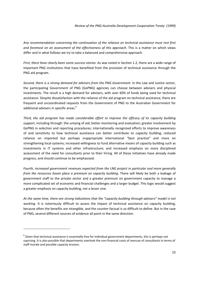*Any recommendation concerning the continuation of the reliance on technical assistance must rest first and foremost on an assessment of the effectiveness of this approach.* This is a matter on which views differ and in what follows we try to take a balanced and comprehensive approach.

*First, there have clearly been some success stories.* As was noted in Section 1.2, there are a wide range of important PNG institutions that have benefited from the provision of technical assistance through the PNG aid program.

*Second, there is a strong demand for advisers from the PNG Government*. In the Law and Justice sector, the participating Government of PNG (GoPNG) agencies can choose between advisers and physical investments. The result is a high demand for advisers, with over 60% of funds being used for technical assistance. Despite dissatisfaction with the reliance of the aid program on technical assistance, there are frequent and uncoordinated requests from the Government of PNG to the Australian Government for additional advisers in specific areas.<sup>8</sup>

*Third, the aid program has made considerable effort to improve the efficacy of its capacity building support*, including through: the untying of aid; better monitoring and evaluation; greater involvement by GoPNG in selection and reporting procedures; internationally recognized efforts to improve awareness of and sensitivity to how technical assistance can better contribute to capacity building; reduced reliance on imported but perhaps inappropriate international "best practice" and more on strengthening local systems; increased willingness to fund alternative means of capacity building such as investments in IT systems and other infrastructure; and increased emphasis on more disciplined assessment of the need for consultants prior to their hiring. All of these initiatives have already made progress, and should continue to be emphasized.

*Fourth, increased government revenues expected from the LNG project in particular and more generally from the resources boom place a premium on capacity building.* There will likely be both a leakage of government staff to the private sector and a greater premium on government capacity to manage a more complicated set of economic and financial challenges and a larger budget. This logic would suggest a greater emphasis on capacity building, not a lesser one.

*At the same time, there are strong indications that the "capacity building through advisers" model is not working.* It is notoriously difficult to assess the impact of technical assistance on capacity building, because often the benefits are intangible, and the counter‐factual is so difficult to define. But in the case of PNG, several different sources of evidence all point in the same direction.

 $8$  Given that technical assistance is essentially free for individual government departments, this is perhaps not suprising. It is also possible that departments overlook the non-financial costs of overuse of consultants in terms of staff morale and possible capacity erosion.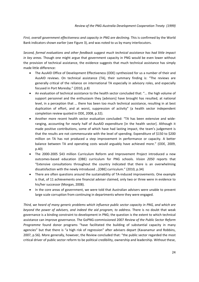*First, overall government effectiveness and capacity in PNG are declining.* This is confirmed by the World Bank indicators shown earlier (see Figure 3), and was noted to us by many interlocutors.

*Second, formal evaluations and other feedback suggest much technical assistance has had little impact in key areas.* Though one might argue that government capacity in PNG would be even lower without the provision of technical assistance, the evidence suggests that much technical assistance has simply made little difference:

- The AusAID Office of Development Effectiveness (ODE) synthesized for us a number of their and AusAID reviews. On technical assistance (TA), their summary finding is: "The reviews are generally critical of the reliance on international TA especially in advisory roles, and especially focused in Port Moresby." (2010, p.8)
- An evaluation of technical assistance to the health sector concluded that: "... the high volume of support personnel and the enthusiasm they [advisors] have brought has resulted, at national level, in a perception that … there has been too much technical assistance, resulting in at best duplication of effort, and at worst, suppression of activity" (a health sector independent completion review quoted in ODE, 2008, p.32).
- Another more recent health sector evaluation concluded: "TA has been extensive and wideranging, accounting for nearly half of AusAID expenditure [in the health sector]. Although it made positive contributions, some of which have had lasting impact, the team's judgement is that the results are not commensurate with the level of spending. Expenditure of \$150 to \$200 million on TA has not produced a step improvement in performance or capacity. A better balance between TA and operating costs would arguably have achieved more." (ODE, 2009, p.40)
- The 2000-2005 \$43 million Curriculum Reform and Improvement Project introduced a new outcomes‐based education (OBE) curriculum for PNG schools. *Vision 2050* reports that "Extensive consultations throughout the country indicated that there is an overwhelming dissatisfaction with the newly introduced …[OBE] curriculum." (2010, p.34)
- There are often questions around the sustainability of TA-induced improvements. One example is that, of 11 achievements one financial adviser claimed, only two or three were in evidence to his/her successor (Morgan, 2008).
- In the core areas of government, we were told that Australian advisers were unable to prevent large scale corruption from continuing in departments where they were engaged.

*Third, we heard of many generic problems which influence public sector capacity in PNG, and which are beyond the power of advisers, and indeed the aid program, to address.* There is no doubt that weak governance is a binding constraint to development in PNG; the question is the extent to which technical assistance can improve governance. The GoPNG‐commissioned 2007 *Review of the Public Sector Reform Programme* found donor programs "have facilitated the building of substantial capacity in many agencies" but that there is "a high risk of regression" after advisers depart (Kavanamur and Robbins, 2007, p.56). More generally, however, the Review concluded that: "the public sector regarded the most critical driver of public sector reform to be political credibility, ownership and leadership. Without these,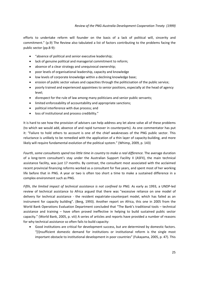efforts to undertake reform will founder on the basis of a lack of political will, sincerity and commitment." (p.9) The Review also tabulated a list of factors contributing to the problems facing the public sector (pp.8‐9):

- "absence of political and senior executive leadership;
- lack of genuine political and managerial commitment to reform;
- absence of a clear strategy and unequivocal ownership;
- poor levels of organisational leadership, capacity and knowledge
- low levels of corporate knowledge within a declining knowledge base;
- erosion of public sector values and capacities through the politicisation of the public service;
- poorly trained and experienced appointees to senior positions, especially at the head of agency level;
- disrespect for the rule of law among many politicians and senior public servants;
- limited enforceability of accountability and appropriate sanctions;
- political interference with due process; and
- loss of institutional and process credibility."

It is hard to see how the provision of advisers can help address any let alone solve all of these problems (to which we would add, absence of and rapid turnover in counterparts). As one commentator has put it: "Failure to hold others to account is one of the chief weaknesses of the PNG public sector. This reluctance is unlikely to be remedied with the application of a thin layer of capacity-building, and more likely will require fundamental evolution of the political system." (Whimp, 2009, p. 143)

*Fourth, some consultants spend too little time in country to make a real difference.* The average duration of a long-term consultant's stay under the Australian Support Facility II (ASFII), the main technical assistance facility, was just 17 months. By contrast, the consultant most associated with the acclaimed recent provincial financing reforms worked as a consultant for five years, and spent most of her working life before that in PNG. A year or two is often too short a time to make a sustained difference in a complex environment such as PNG.

*Fifth, the limited impact of technical assistance is not confined to PNG.* As early as 1993, a UNDP‐led review of technical assistance to Africa argued that there was "excessive reliance on one model of delivery for technical assistance - the resident expatriate-counterpart model, which has failed as an instrument for capacity building". (Berg, 1993). Another report on Africa, this one in 2005 from the World Bank Operations Evaluation Department concluded that "The Bank's traditional tools – technical assistance and training – have often proved ineffective in helping to build sustained public sector capacity." (World Bank, 2005, p. viii) A series of articles and reports have provided a number of reasons for why technical assistance so often fails to build capacity:

• Good institutions are critical for development success, but are determined by domestic factors. "[I]nsufficient domestic demand for institutions or institutional reform is the single most important obstacle to institutional development in poor countries" (Fukayama, 2005, p. 47). This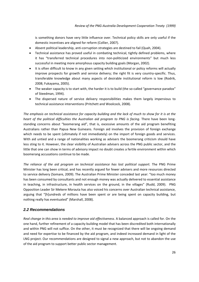is something donors have very little influence over. Technical policy skills are only useful if the domestic incentives are aligned for reform (Collier, 2007).

- Absent political leadership, anti-corruption strategies are destined to fail (Quah, 2004).
- Technical assistance has proved useful in combating technical, tightly defined problems, where it has "transferred technical procedures into non‐politicized environments" but much less successful in meeting more amorphous capacity building goals (Morgan, 2002).
- It is often difficult to know in any given setting which institutional or policy reforms will actually improve prospects for growth and service delivery; the right fit is very country-specific. Thus, transferable knowledge about many aspects of desirable institutional reform is low (Rodrik, 2008; Fukayama, 2005).
- The weaker capacity is to start with, the harder it is to build (the so-called "governance paradox" of Steedman, 1994).
- The dispersed nature of service delivery responsibilities makes them largely impervious to technical assistance interventions (Pritchett and Woolcock, 2008).

The emphasis on technical assistance for capacity building and the lack of much to show for it is at the *heart of the political difficulties the Australian aid program to PNG is facing.* There have been long‐ standing concerns about "boomerang aid", that is, excessive amounts of the aid program benefiting Australians rather than Papua New Guineans. Foreign aid involves the provision of foreign exchange which needs to be spent (ultimately if not immediately) on the import of foreign goods and services. With aid untied and a range of nationalities working as advisers the boomerang criticism should have less sting to it. However, the clear visibility of Australian advisers across the PNG public sector, and the little that one can show in terms of advisory impact no doubt creates a fertile environment within which boomerang accusations continue to be made.

*The reliance of the aid program on technical assistance has lost political support.* The PNG Prime Minister has long been critical, and has recently argued for fewer advisers and more resources directed to service delivery (Somare, 2009). The Australian Prime Minister conceded last year: "too much money has been consumed by consultants and not enough money was actually delivered to essential assistance in teaching, in infrastructure, in health services on the ground, in the villages" (Rudd, 2009). PNG Opposition Leader Sir Mekere Morauta has also voiced his concerns over Australian technical assistance, arguing that "[h]undreds of millions have been spent or are being spent on capacity building, but nothing really has eventuated" (Marshall, 2008).

### *2.2 Recommendations*

*Real change in this area is needed to improve aid effectiveness.* A balanced approach is called for. On the one hand, further refinement of a capacity building model that has been discredited both internationally and within PNG will not suffice. On the other, it must be recognized that there will be ongoing demand and need for expertise to be financed by the aid program, and indeed increased demand in light of the LNG project. Our recommendations are designed to signal a new approach, but not to abandon the use of the aid program to support better public sector management.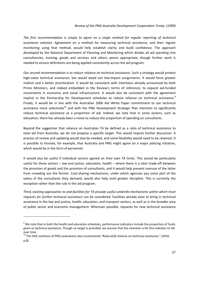*The first recommendation is simply to agree on a single method for regular reporting of technical assistance volumes.* Agreement on a method for measuring technical assistance, and then regular monitoring using that method, would help establish clarity and build confidence. The approach developed by the National Department of Planning and Monitoring which divides all aid spending into consultancies, training, goods and services and others seems appropriate, though further work is needed to ensure definitions are being applied consistently across the aid program.

*Our second recommendation is to reduce reliance on technical assistance.* Such a strategy would protect high-value technical assistance, but would weed out low-impact assignments. It would force greater realism and a better prioritization. It would be consistent with intentions already announced by both Prime Ministers, and indeed embedded in the Review's terms of reference, to expand aid‐funded investments in economic and social infrastructure. It would also be consistent with the agreement implicit in the Partnership for Development schedules to reduce reliance on technical assistance.<sup>9</sup> Finally, it would be in line with the Australian 2006 Aid White Paper commitment to use technical assistance more selectively<sup>10</sup> and with the PNG Development Strategic Plan intention to significantly reduce technical assistance as a proportion of aid. Indeed, we note that in some sectors, such as education, there has already been a move to reduce the proportion of spending on consultants.

Beyond the suggestion that reliance on Australian TA be defined as a ratio of technical assistance to total aid from Australia, we do not propose a specific target. This would require further discussion. A process of review and updating would also be needed, and some flexibility would need to be retained. It is possible to foresee, for example, that Australia and PNG might agree on a major policing initiative, which would be in the form of personnel.

It would also be useful if individual sectors agreed on their own TA limits. This would be particularly useful for those sectors – law and justice, education, health – where there is a clear trade‐off between the provision of goods and the provision of consultants, and it would help prevent overuse of the latter from crowding out the former. Cost-sharing mechanisms, under which agencies pay some part of the salary of the consultants they demand, would also help instil greater discipline. This is currently the exception rather than the rule in the aid program.

*Third, existing approaches to and facilities for TA provide useful umbrella mechanisms within which most requests for further technical assistance can be considered.* Facilities already exist to bring in technical assistance in the law and justice, health, education, and transport sectors, as well as in the broader area of public sector and economic management. Wherever possible, requests for new technical assistance

<sup>&</sup>lt;sup>9</sup> We note that in both the health and education schedules, performance indicators include the proportion of funds given as technical assistance. Though no target is provided, we assume that the intention is for this indicator to fall over time.<br><sup>10</sup> The ODE synthesis of PNG evaluations also recommends "Reduce[d] reliance on technical assistance." (2010,

p.8).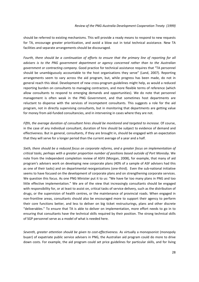should be referred to existing mechanisms. This will provide a ready means to respond to new requests for TA, encourage greater prioritization, and avoid a blow out in total technical assistance. New TA facilities and separate arrangements should be discouraged.

Fourth, there should be a continuation of efforts to ensure that the primary line of reporting for all *advisers is to the PNG government department or agency concerned rather than to the Australian government or contracting company.* Good practice for technical assistance requires that "TA personnel should be unambiguously accountable to the host organisations they serve" (Land, 2007). Reporting arrangements seem to vary across the aid program, but, while progress has been made, do not in general reach this ideal. Development of new cross-program guidelines might help, as would a reduced reporting burden on consultants to managing contractors, and more flexible terms of reference (which allow consultants to respond to emerging demands and opportunities). We do note that personnel management is often weak in the PNG Government, and that sometimes host departments are reluctant to dispense with the services of incompetent consultants. This suggests a role for the aid program, not in directly supervising consultants, but in monitoring that departments are getting value for money from aid-funded consultancies, and in intervening in cases where they are not.

*Fifth, the average duration of consultant hires should be monitored and targeted to increase.* Of course, in the case of any individual consultant, duration of hire should be subject to evidence of demand and effectiveness*.* But in general, consultants, if they are brought in, should be engaged with an expectation that they will serve for a longer period than the current average of a year and a half.

*Sixth, there should be a reduced focus on corporate reforms, and a greater focus on implementation of critical tasks, perhaps with a greater proportion number of positions based outside of Port Moresby.* We note from the independent completion review of ASFII (Morgan, 2008), for example, that many of aid program's advisers work on developing new corporate plans (40% of a sample of ASF advisers had this as one of their tasks) and on departmental reorganizations (one-third). Even the sub-national initiative seems to have focused on the development of corporate plans and on strengthening corporate services. We question this focus. As one PNG Minister put it to us: "We have far too many plans in PNG and too little effective implementation." We are of the view that increasingly consultants should be engaged with responsibility for, or at least to assist on, critical tasks of service delivery, such as the distribution of drugs, or the supervision of health centres, or the maintenance of provincial roads. When engaged in non‐frontline areas, consultants should also be encouraged more to support their agency to perform their core functions better, and less to deliver on big ticket restructurings, plans and other discrete "deliverables." To ensure that TA is able to deliver on implementation, more effort needs to go in to ensuring that consultants have the technical skills required by their position. The strong technical skills of SGP personnel serve as a model of what is needed here.

*Seventh, greater attention should be given to cost‐effectiveness.* As virtually a monopsonist (monopoly buyer) of expatriate public service advisers in PNG, the Australian aid program could do more to drive down costs. For example, the aid program could set price guidelines for particular skills, and for living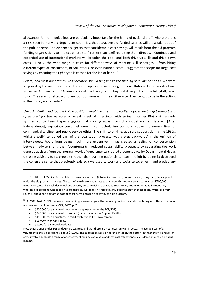allowances. Uniform guidelines are particularly important for the hiring of national staff, where there is a risk, seen in many aid‐dependent countries, that attractive aid‐funded salaries will draw talent out of the public sector. The evidence suggests that considerable cost savings will result from the aid program funding organizations to hire expatriate staff, rather than itself recruiting them directly.<sup>11</sup> Continued and expanded use of international markets will broaden the pool, and both drive up skills and drive down costs. Finally, the wide range in costs for different ways of meeting skill shortages – from hiring different types of consultants, or volunteers, or even national staff – suggests the scope for large cost savings by ensuring the right type is chosen for the job at hand.<sup>12</sup>

*Eighth, and most importantly, consideration should be given to the funding of in‐line positions.* We were surprised by the number of times this came up as an issue during our consultations. In the words of one Provincial Administrator: "Advisers are outside the system. They find it very difficult to tell [staff] what to do. They are not attached to any position number in the civil service. They've got to be in the action, in the 'tribe', not outside."

Using Australian aid to fund in-line positions would be a return to earlier days, when budget support was *often used for this purpose.* A revealing set of interviews with eminent former PNG civil servants synthesized by Lynn Pieper suggests that moving away from this model was a mistake: "[After independence], expatriate personnel were in contracted, line positions, subject to normal lines of command, discipline, and public service ethics. The shift to off‐line, advisory support during the 1980s, whilst a well-intentioned part of the localisation process, 'was a step backwards' in the opinion of interviewees. Apart from being much more expensive, it has created a feeling of condescension between 'advisers' and their 'counterparts'; reduced sustainability prospects by separating the work done by advisers from the 'normal' work of departments; created a dependency by Departmental Heads on using advisers to fix problems rather than training nationals to learn the job by doing it; destroyed the collegiate sense that previously existed ('we used to work and socialise together'); and eroded any

- \$150,000 for an expatriate hired directly by the PNG government
- \$55,000 for an ODI Fellow

• \$6,000 for a national graduate.

 $11$  The Institute of Medical Research hires its own expatriates (into in-line positions, not as advisers) using budgetary support which the aid program provides. The cost of a mid-level expatriate salary under this route appears to be about K200,000 or about \$100,000. This excludes rental and security costs (which are provided separately), but on other hand includes tax, whereas aid-program-funded salaries are tax free. IMR is able to recruit highly qualified staff at these rates, which are (very roughly) about one‐half of the cost of consultants engaged directly by the aid program.

<sup>&</sup>lt;sup>12</sup> A 2007 AusAID ODE review of economic governance gave the following indicative costs for hiring of different types of advisers and public servants (ODE, 2007, p.23):

<sup>•</sup> \$400,000 for a mid‐level government deployee (under the ECP/SGP).

<sup>•</sup> \$340,000 for a mid‐level consultant (under the Advisory Support Facility).

Note that salaries under SGP and ASF are tax free, and that these are not necessarily all-in costs. The average cost of a volunteer to the aid program is about \$40,000. The suggestion here is not "the cheaper, the better" but that the wide range of costs involved suggests a range of alternatives should be examined, and that cost-effectiveness considerations should be kept in mind.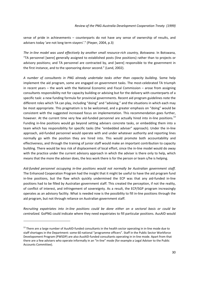sense of pride in achievements – counterparts do not have any sense of ownership of results, and advisers today 'are not long term stayers'." (Pieper, 2004, p.3)

*The in‐line model was used effectively by another small resource‐rich country, Botswana*. In Botswana, "TA personnel [were] generally assigned to established posts (line positions) rather than to projects or advisory positions; and TA personnel are contracted by, and [were] responsible to the government in the first instance, and to the sponsoring donor second." (Land, 2002).

*A number of consultants in PNG already undertake tasks other than capacity building*. Some help implement the aid program, some are engaged on government tasks. The most-celebrated TA triumph in recent years – the work with the National Economic and Fiscal Commission – arose from assigning consultants responsibility not for capacity building or advising but for the delivery with counterparts of a specific task: a new funding formula for provincial governments. Recent aid program guidelines note the different roles which TA can play, including "doing" and "advising," and the situations in which each may be most appropriate. This pragmatism is to be welcomed, and a greater emphasis on "doing" would be consistent with the suggested increased focus on implementation. This recommendation goes further, however. At the current time very few aid-funded personnel are actually hired into in-line positions.<sup>13</sup> Funding in‐line positions would go beyond setting advisers concrete tasks, or embedding them into a team which has responsibility for specific tasks (the "embedded adviser" approach). Under the in‐line approach, aid-funded personnel would operate with and under whatever authority and reporting lines normally go with the position they are hired into. This would promote both accountability and effectiveness, and through the training of junior staff would make an important contribution to capacity building. There would be less risk of displacement of local effort, since the in‐line model would do away with the practice under the current advisory approach in which the adviser is there only to help, which means that the more the adviser does, the less work there is for the person or team s/he is helping.

*Aid‐funded personnel occupying in‐line positions would not normally be Australian government staff*. The Enhanced Cooperation Program had the insight that it might be useful to have the aid program fund in-line positions, but the flaw which quickly undermined the ECP was that any aid-funded in-line positions had to be filled by Australian government staff. This created the perception, if not the reality, of conflict of interest, and infringement of sovereignty. As a result, the ECP/SGP program increasingly operates as an advisory facility. What is needed now is the possibility to fill in‐line positions through the aid program, but not through reliance on Australian government staff.

*Recruiting expatriates into in‐line positions could be done either on a sectoral basis or could be centralized.* GoPNG could indicate where they need expatriates to fill particular positions. AusAID would

<sup>&</sup>lt;sup>13</sup> There are a large number of AusAID-funded consultants in the health sector operating in in-line mode due to staff shortages in the Department: some 60 national "programme officers". Staff in the Public Sector Workforce Developoment Program (PWSDP) are also AusAID‐funded consultants operating in in‐line mode. Apart from that there are a few advisers who operate informally in an "in‐line" mode (for example a Legal Adviser to the Public Accounts Committee).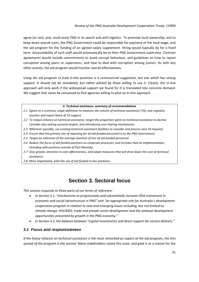agree (or not), and, could assist PNG in its search and with logistics. To promote local ownership, and to keep down overall costs, the PNG Government could be responsible for payment of the local wage, and the aid program for the funding of an agreed salary supplement. Hiring would typically be for a fixed term. Accountability of such staff would automatically be to their PNG Government supervisor. Contract agreements would include commitments to avoid corrupt behaviour, and guidelines on how to report corruption among peers or supervisors, and how to deal with corruption among juniors. As with any other activity, the aid program would monitor overall effectiveness.

Using the aid program to fund in-line positions is a controversial suggestion, but one which has strong *support. It should not be mandated, but rather piloted by those willing to use it.* Clearly, the in‐line approach will only work if the widespread support we found for it is translated into concrete demand. We suggest that views be canvassed to find agencies willing to pilot an in-line approach.

### *2. Technical assistance: summary of recommendations*

- 2.1 Agree on a common, single definition to measure the volume of technical assistance (TA), and regularly *monitor and report levels of TA support.*
- *2.2 To reduce reliance on technical assistance, target the proportion spent on technical assistance to decline. Consider also setting sectoral targets, and introducing cost‐sharing mechanisms.*
- *2.3 Wherever possible, use existing technical assistance facilities to consider and process new TA requests.*
- 2.4 Ensure that the primary line of reporting for all aid-funded personnel is to the PNG Government.
- *2.5 Target an extension of the average duration of hire of aid‐funded personnel.*
- *2.6 Reduce the focus of aid‐funded positions on corporate processes, and increase that on implementation, including with positions outside of Port Moresby.*
- 2.7 Give greater attention to cost-effectiveness, and adopt measures that will drive down the cost of technical *assistance.*
- *2.8 Most importantly, pilot the use of aid funded in‐line positions.*

## **Section 3. Sectoral focus**

*This section responds to three parts of our terms of reference:*

- *In Section 3.1, "mechanisms to progressively and substantially increase ODA investment in economic and social infrastructure in PNG" and "an appropriate role for Australia's development cooperation program in relation to new and emerging issues including, but not limited to, climate change, HIV/AIDS, trade and private sector development and the national development opportunities presented by growth in the PNG economy."*
- *In Section 3.2, the balance between "capital investments and direct support for service delivery."*

## *3.1 Focus and responsiveness*

If the heavy reliance on technical assistance is the most remarked-on aspect of the aid program, the thin *spread of the program is the second.* Many stakeholders raised this issue, and gave it as a reason for the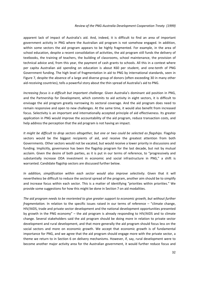### *Review of the PNG‐Australia Development Cooperation Treaty (1999)*

apparent lack of impact of Australia's aid. And, indeed, it is difficult to find an area of important government activity in PNG where the Australian aid program is not somehow engaged. In addition, within some sectors the aid program appears to be highly fragmented. For example, in the area of school education, despite a recent consolidation of activities, the aid program still funds the delivery of textbooks, the training of teachers, the building of classrooms, school maintenance, the provision of technical advice and, from this year, the payment of cash grants to schools. All this in a context where per capita Australian aid spending on education is about K60 per student, and one-tenth of PNG Government funding. The high level of fragmentation in aid to PNG by international standards, seen in Figure 7, despite the absence of a large and diverse group of donors (often exceeding 30 in many other aid‐receiving countries), tells a powerful story about the thin spread of Australia's aid to PNG.

*Increasing focus is a difficult but important challenge.* Given Australia's dominant aid position in PNG, and the Partnership for Development, which commits to aid activity in eight sectors, it is difficult to envisage the aid program greatly narrowing its sectoral coverage. And the aid program does need to remain responsive and open to new challenges. At the same time, it would also benefit from increased focus. Selectivity is an important and internationally accepted principle of aid effectiveness. Its greater application in PNG would improve the accountability of the aid program, reduce transaction costs, and help address the perception that the aid program is not having an impact.

*It might be difficult to drop sectors altogether, but one or two could be selected as flagships.* Flagship sectors would be the biggest recipients of aid, and receive the greatest attention from both Governments. Other sectors would not be vacated, but would receive a lower priority in discussions and funding. Implicitly, governance has been the flagship program for the last decade, but not by mutual acclaim. Given the desire of both parties, as it is put in our terms of reference, to "progressively and substantially increase ODA investment in economic and social infrastructure in PNG," a shift is warranted. Candidate flagship sectors are discussed further below.

*In addition, simplification within each sector would also improve selectivity.* Given that it will nevertheless be difficult to reduce the sectoral spread of the program, another aim should be to simplify and increase focus within each sector. This is a matter of identifying "priorities within priorities." We provide some suggestions for how this might be done in Section 7 on aid modalities.

*The aid program needs to be reoriented to give greater support to economic growth, but without further fragmentation.* In relation to the specific issues raised in our terms of reference – "climate change, HIV/AIDS, trade and private sector development and the national development opportunities presented by growth in the PNG economy" – the aid program is already responding to HIV/AIDS and to climate change. Several stakeholders said the aid program should be doing more in relation to private sector development and rural development, and that more generally the aid program should focus less on the social sectors and more on economic growth. We accept that economic growth is of fundamental importance for PNG, and we agree that the aid program should engage more with the private sector, a theme we return to in Section 6 on delivery mechanisms. However, if, say, rural development were to become another major activity area for the Australian government, it would further reduce focus and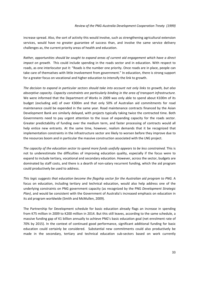increase spread. Also, the sort of activity this would involve, such as strengthening agricultural extension services, would have no greater guarantee of success than, and involve the same service delivery challenges as, the current priority areas of health and education.

*Rather, opportunities should be sought to expand areas of current aid engagement which have a direct impact on growth.* This could include spending in the roads sector and in education. With respect to roads, as one interlocutor put it: "Roads is the number one priority. Once roads are in place, people can take care of themselves with little involvement from government." In education, there is strong support for a greater focus on vocational and higher education to intensify the link to growth.

The decision to expand in particular sectors should take into account not only links to growth, but also *absorptive capacity. Capacity constraints are particularly binding in the area of transport infrastructure.* We were informed that the Department of Works in 2009 was only able to spend about K100m of its budget (excluding aid) of over K300m and that only 50% of Australian aid commitments for road maintenance could be expended in the same year. Road maintenance contracts financed by the Asian Development Bank are similarly delayed, with projects typically taking twice the contracted time. Both Governments need to pay urgent attention to the issue of expanding capacity for the roads sector. Greater predictability of funding over the medium term, and faster processing of contracts would all help entice new entrants. At the same time, however, realism demands that it be recognized that implementation constraints in the infrastructure sector are likely to worsen before they improve due to the resources boom and in particular the massive construction associated with the LNG project.

*The capacity of the education sector to spend more funds usefully appears to be less constrained.* This is not to underestimate the difficulties of improving education quality, especially if the focus were to expand to include tertiary, vocational and secondary education. However, across the sector, budgets are dominated by staff costs, and there is a dearth of non‐salary recurrent funding, which the aid program could productively be used to address.

*This logic suggests that education become the flagship sector for the Australian aid program to PNG.* A focus on education, including tertiary and technical education, would also help address one of the underlying constraints on PNG government capacity (as recognized by the PNG *Development Strategic Plan)*, and would be consistent with the Government of Australia's increased emphasis on education in its aid program worldwide (Smith and McMullen, 2009).

The Partnership for Development schedule for basic education already flags an increase in spending from K75 million in 2009 to K200 million in 2014. But this still leaves, according to the same schedule, a massive funding gap of K1 billion annually to achieve PNG's basic education goal (net enrolment rate of 70% by 2015). In the context of continued good performance, significant additional funding for basic education could certainly be considered. Substantial new commitments could also productively be made in the secondary, tertiary and technical education sub-sectors based on work currently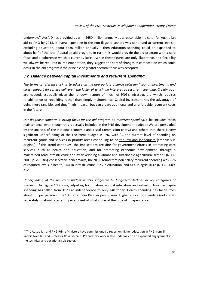underway.<sup>14</sup> AusAID has provided us with \$650 million annually as a reasonable indicator for Australian aid to PNG by 2015. If overall spending in the non-flagship sectors was continued at current levels – excluding education, about \$330 million annually – then education spending could be expanded to about half of the total Australian aid program. In turn, this would provide the aid program with a core focus and a coherence which it currently lacks. While these figures are only illustrative, and flexibility will always be required in implementation, they suggest the sort of changes in composition which could occur in the aid program if the principle of greater sectoral focus was accepted.

## *3.2 Balance between capital investments and recurrent spending*

*The terms of reference ask us to advise on the appropriate balance between "capital investments and direct support for service delivery," the latter of which we interpret as recurrent spending*. Clearly both are needed, especially given the rundown nature of much of PNG's infrastructure which requires rehabilitation or rebuilding rather than simply maintenance. Capital investment has the advantage of being more tangible, and thus "high impact," but can create additional and unaffordable recurrent costs in the future.

*Our diagnosis supports a strong focus for the aid program on recurrent spending.* (This includes roads maintenance, even though this is actually included in the PNG development budget.) We are persuaded by the analysis of the National Economic and Fiscal Commission (NEFC) and others that there is very significant underfunding of the recurrent budget in PNG with "… the current level of spending on recurrent goods and services in priority areas continuing to be too low and inadequate [emphasis in original]. If this trend continues, the implications are dire for government efforts in promoting core services, such as health and education, and for promoting economic development, through a maintained road infrastructure and by developing a vibrant and sustainable agricultural sector." (NEFC, 2009, p. v). Using conservative benchmarks, the NEFC found that non-salary recurrent spending was 25% of required levels in health, 14% in infrastructure, 59% in education, and 41% in agriculture (NEFC, 2009, p. vi).

*Underfunding of the recurrent budget is also suggested by long‐term declines in key categories of spending.* As Figure 10 shows, adjusting for inflation, annual education and infrastructure per capita spending has fallen from K120 at independence to only K40 today. Health spending has fallen from about K60 per person in the 1980s to under K40 per person now. Higher education spending (not shown separately) is about one-tenth per student of what it was at the time of independence.

<sup>&</sup>lt;sup>14</sup> The Australian and PNG Prime Ministers have commissioned a report on higher education in PNG from Sir Rabbie Namilau and Professor Ross Garnaut. Preparatory work is also underway on an expanded engagement in the technical and vocational sub‐sector.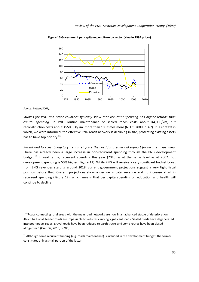

**Figure 10 Government per capita expenditure by sector (Kina in 1999 prices)**

*Source: Batten (2009).* 

*Studies for PNG and other countries typically show that recurrent spending has higher returns than capital spending.* In PNG routine maintenance of sealed roads costs about K4,000/km, but reconstruction costs about K550,000/km, more than 100 times more (NEFC, 2009, p. 67). In a context in which, we were informed, the effective PNG roads network is declining in size, protecting existing assets has to have top priority.<sup>15</sup>

*Recent and forecast budgetary trends reinforce the need for greater aid support for recurrent spending.* There has already been a large increase in non-recurrent spending through the PNG development budget.<sup>16</sup> In real terms, recurrent spending this year (2010) is at the same level as at 2002. But development spending is 50% higher (Figure 11). While PNG will receive a very significant budget boost from LNG revenues starting around 2018, current government projections suggest a very tight fiscal position before that. Current projections show a decline in total revenue and no increase at all in recurrent spending (Figure 12), which means that per capita spending on education and health will continue to decline.

<sup>&</sup>lt;sup>15</sup> "Roads connecting rural areas with the main road networks are now in an advanced statge of deterioration. About half of all feeder roads are impassable to vehicles carrying signfiicant loads. Sealed roads have degenerated into poor gravel roads, gravel roads have been reduced to earth tracks and some routes have been closed altogether." (Gumbis, 2010, p.206)

 $16$  Although some recurrent funding (e.g. roads maintenance) is included in the development budget, the former constitutes only a small portion of the latter.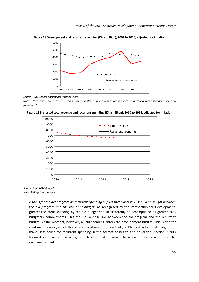

**Figure 11 Development and recurrent spending (Kina million), 2002 to 2010, adjusted for inflation**

*Source: PNG Budget documents, various years.*

Note: 2010 prices are used. Trust funds from supplementary revenues are included with development spending. See also *footnote 16.*





*Source: PNG 2010 Budget. Note: 2010 prices are used.*

> *A focus for the aid program on recurrent spending implies that closer links should be sought between the aid program and the recurrent budget.* As recognized by the Partnership for Development, greater recurrent spending by the aid budget should preferably be accompanied by greater PNG budgetary commitments. This requires a close link between the aid program and the recurrent budget. At the moment, however, all aid spending enters the development budget. This is fine for road maintenance, which though recurrent in nature is actually in PNG's development budget, but makes less sense for recurrent spending in the sectors of health and education. Section 7 puts forward some ways in which greater links should be sought between the aid program and the recurrent budget.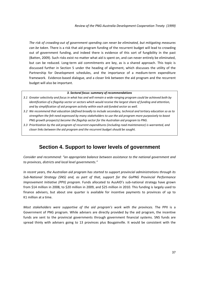*The risk of crowding‐out of government spending can never be eliminated, but mitigating measures can be taken.* There is a risk that aid program funding of the recurrent budget will lead to crowding out of government funding, and indeed there is evidence of this sort of fungibility in the past (Batten, 2009). Such risks exist no matter what aid is spent on, and can never entirely be eliminated, but can be reduced. Long‐term aid commitments are key, as is a shared approach. This topic is discussed further in Section 5 under the heading of alignment, which discusses the utility of the Partnership for Development schedules, and the importance of a medium‐term expenditure framework. Evidence‐based dialogue, and a closer link between the aid program and the recurrent budget will also be important.

### *3. Sectoral focus: summary of recommendations*

- 3.1 Greater selectivity and focus in what has and will remain a wide-ranaina proaram could be achieved both by identification of a flagship sector or sectors which would receive the largest share of funding and attention, *and by simplification of aid program activity within each aid‐funded sector as well.*
- 3.2 We recommend that education (defined broadly to include secondary, technical and tertiary education so as to *strengthen the felt need expressed by many stakeholders to use the aid program more purposively to boost PNG growth prospects) become the flagship sector for the Australian aid program to PNG.*
- *3.3 Prioritization by the aid program of recurrent expenditures (including road maintenance) is warranted, and closer links between the aid program and the recurrent budget should be sought.*

# **Section 4. Support to lower levels of government**

*Consider and recommend: "an appropriate balance between assistance to the national government and to provinces, districts and local level governments."*

*In recent years, the Australian aid program has started to support provincial administrations through its Sub‐National Strategy (SNS) and, as part of that, support for the GoPNG Provincial Performance Improvement Initiative (PPII) program.* Funds allocated to AusAID's sub‐national strategy have grown from \$14 million in 2008, to \$20 million in 2009, and \$25 million in 2010. This funding is largely used to finance advisers, but about one quarter is available for incentive payments to provinces of up to K1 million at a time.

*Most stakeholders were supportive of the aid program's work with the provinces.* The PPII is a Government of PNG program. While advisers are directly provided by the aid program, the incentive funds are sent to the provincial governments through government financial systems. SNS funds are spread thinly with advisers going to 13 provinces plus Bougainville. It would be consistent with the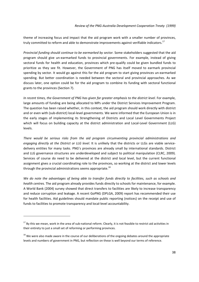theme of increasing focus and impact that the aid program work with a smaller number of provinces, truly committed to reform and able to demonstrate improvements against verifiable indicators.<sup>17</sup>

*Provincial funding should continue to be earmarked by sector.* Some stakeholders suggested that the aid program should give un‐earmarked funds to provincial governments. For example, instead of giving sectoral funds for health and education, provinces which pre-qualify could be given bundled funds to prioritize as they see fit. However, the Government of PNG has itself moved to earmark provincial spending by sector. It would go against this for the aid program to start giving provinces un-earmarked spending. But better coordination is needed between the sectoral and provincial approaches. As we discuss later, one option could be for the aid program to combine its funding with sectoral functional grants to the provinces (Section 7).

*In recent times, the Government of PNG has given far greater emphasis to the district level.* For example, large amounts of funding are being allocated to MPs under the District Services Improvement Program. The question has been raised whether, in this context, the aid program should work directly with district and or even with (sub-district) local-level governments. We were informed that the European Union is in the early stages of implementing its Strengthening of Districts and Local Level Governments Project which will focus on building capacity at the district administration and Local-Level Government (LLG) levels.

*There would be serious risks from the aid program circumventing provincial administrations and engaging directly at the District or LLG level.* It is unlikely that the districts or LLGs are viable service‐ delivery entities for many tasks. PNG's provinces are already small by international standards. District and LLG governance structures are underdeveloped and subject to political manipulation (CLRC, 2009). Services of course do need to be delivered at the district and local level, but the current functional assignment gives a crucial coordinating role to the provinces, so working at the district and lower levels through the provincial administrations seems appropriate.<sup>18</sup>

We do note the advantages of being able to transfer funds directly to facilities, such as schools and *health centres.* The aid program already provides funds directly to schools for maintenance, for example. A World Bank (2004) survey showed that direct transfers to facilities are likely to increase transparency and reduce corruption and leakage. A recent GoPNG (DPLGA, 2009) report has recommended their use for health facilities. Aid guidelines should mandate public reporting (notices) on the receipt and use of funds to facilities to promote transparency and local-level accountability.

 $17$  By this we mean, work in the area of sub-national reform. Clearly, it is not feasible to restrict aid activities in their entirety to just a small set of reforming or performing provinces.

<sup>&</sup>lt;sup>18</sup> We were also made aware in the course of our deliberations of the ongoing debates around the appropriate levels and numbers of government in PNG, but reflection on these is well beyond our terms of reference.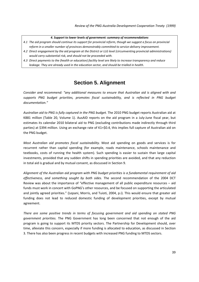### *4. Support to lower levels of government: summary of recommendations*

- 4.1 The aid program should continue its support for provincial reform, though we suggest a focus on provincial *reform in a smaller number of provinces demonstrably committed to service‐delivery improvement.*
- *4.2 Direct engagement by the aid program at the District or LLG level (circumventing provincial administrations) would carry substantial risk, and should not be proceeded with.*
- 4.3 Direct payments to the (health or education) facility level are likely to increase transparency and reduce *leakage. They are already used in the education sector, and should be trialled in health.*

## **Section 5. Alignment**

*Consider and recommend: "any additional measures to ensure that Australian aid is aligned with and supports PNG budget priorities, promotes fiscal sustainability, and is reflected in PNG budget documentation."*

*Australian aid to PNG is fully captured in the PNG budget.* The 2010 PNG budget reports Australian aid at K881 million (Table 20, Volume 1). AusAID reports on the aid program in a July-June fiscal year, but estimates its calendar 2010 bilateral aid to PNG (excluding contributions made indirectly through third parties) at \$394 million. Using an exchange rate of K1=\$0.4, this implies full capture of Australian aid on the PNG budget.

*Most Australian aid promotes fiscal sustainability.* Most aid spending on goods and services is for recurrent rather than capital spending (for example, roads maintenance, schools maintenance and textbooks, costs of running the health system). Such spending is easier to sustain than large capital investments, provided that any sudden shifts in spending priorities are avoided, and that any reduction in total aid is gradual and by mutual consent, as discussed in Section 9.

*Alignment of the Australian aid program with PNG budget priorities is a fundamental requirement of aid effectiveness, and something sought by both sides.* The second recommendation of the 2004 DCT Review was about the importance of "effective management of all public expenditure resources – aid funds must work in concert with GoPNG's other resources, and be focused on supporting the articulated and jointly agreed priorities." (Lepani, Morris, and Tuioti, 2004, p.i). This would ensure that greater aid funding does not lead to reduced domestic funding of development priorities, except by mutual agreement.

*There are some positive trends in terms of focusing government and aid spending on stated PNG government priorities.* The PNG Government has long been concerned that not enough of the aid program is going to support its MTDS priority sectors. The Partnership for Development should, over time, alleviate this concern, especially if more funding is allocated to education, as discussed in Section 3. There has also been progress in recent budgets with increased PNG funding to MTDS sectors.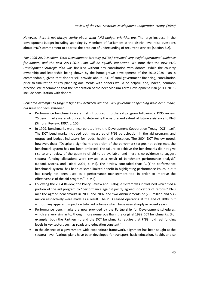*However, there is not always clarity about what PNG budget priorities are.* The large increase in the development budget including spending by Members of Parliament at the district level raise questions about PNG's commitment to address the problem of underfunding of recurrent services (Section 3.2).

*The 2006‐2010 Medium Term Development Strategy (MTDS) provided very useful operational guidance for donors, and the next 2011‐2015 Plan will be equally important.* We note that the new PNG *Development Strategic Plan* was finalized without any consultation with donors. While the country ownership and leadership being shown by the home‐grown development of the 2010‐2030 Plan is commendable, given that donors still provide about 15% of total government financing, consultation prior to finalization of key planning documents with donors would be helpful, and, indeed, common practice. We recommend that the preparation of the next Medium Term Development Plan (2011‐2015) include consultation with donors.

*Repeated attempts to forge a tight link between aid and PNG government spending have been made, but have not been sustained.*

- Performance benchmarks were first introduced into the aid program following a 1995 review. 25 benchmarks were introduced to determine the nature and extent of future assistance to PNG (Simons Review, 1997, p. 106)
- In 1999, benchmarks were incorporated into the Development Cooperation Treaty (DCT) itself. The DCT benchmarks included both measures of PNG participation in the aid program, and output and budget indicators for roads, health and education. The 2004 DCT Review noted, however, that: "Despite a significant proportion of the benchmark targets not being met, the benchmark system has not been enforced. The failure to achieve the benchmarks did not give rise to any review of the quantity of aid to be available, and there is no evidence to suggest sectoral funding allocations were revised as a result of benchmark performance analysis" (Lepani, Morris, and Tuioti, 2004, p. viii). The Review concluded that: "…[T]he performance benchmark system has been of some limited benefit in highlighting performance issues, but it has clearly not been used as a performance management tool in order to improve the effectiveness of the aid program." (p. viii)
- Following the 2004 Review, the Policy Review and Dialogue system was introduced which tied a portion of the aid program to "performance against jointly agreed indicators of reform." PNG met the agreed benchmarks in 2006 and 2007 and two disbursements of \$30 million and \$35 million respectively were made as a result. The PRD ceased operating at the end of 2008, but without any apparent impact on total aid volumes which have risen sharply in recent years.
- Performance benchmarks are now provided by the Partnership for Development schedules, which are very similar to, though more numerous than, the original 1999 DCT benchmarks. (For example, both the Partnership and the DCT benchmarks require that PNG hold real funding levels in key sectors such as roads and education constant.)
- In the absence of a government-wide expenditure framework, alignment has been sought at the sectoral level. Various plans have been developed for transport, basic education, health, and so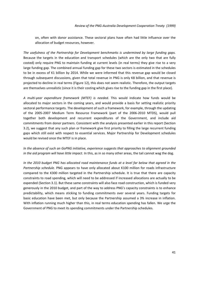on, often with donor assistance. These sectoral plans have often had little influence over the allocation of budget resources, however.

*The usefulness of the Partnership for Development benchmarks is undermined by large funding gaps.* Because the targets in the education and transport schedules (which are the only two that are fully costed) only require PNG to maintain funding at current levels (in real terms) they give rise to a very large funding gap. The combined annual funding gap for these two sectors is estimated in the schedules to be in excess of K1 billion by 2014. While we were informed that this revenue gap would be closed through subsequent discussions, given that total revenue in PNG is only K8 billion, and that revenue is projected to decline in real terms (Figure 12), this does not seem realistic. Therefore, the output targets are themselves unrealistic (since it is their costing which gives rise to the funding gap in the first place).

*A multi‐year expenditure framework (MTEF) is needed*. This would indicate how funds would be allocated to major sectors in the coming years, and would provide a basis for setting realistic priority sectoral performance targets. The development of such a framework, for example, through the updating of the 2005‐2007 Medium Term Resource Framework (part of the 2006‐2010 MTDS), would pull together both development and recurrent expenditures of the Government, and include aid commitments from donor partners. Consistent with the analysis presented earlier in this report (Section 3.2), we suggest that any such plan or framework give first priority to filling the large recurrent funding gaps which still exist with respect to essential services. Major Partnership for Development schedules would be revised once the MTEF is in place.

*In the absence of such an GoPNG initiative, experience suggests that approaches to alignment grounded in the aid program will have little impact.* In this, as in so many other areas, the tail cannot wag the dog.

In the 2010 budget PNG has allocated road maintenance funds at a level far below that agreed in the *Partnership schedule.* PNG appears to have only allocated about K100 million for roads infrastructure compared to the K300 million targeted in the Partnership schedule. It is true that there are capacity constraints to road spending, which will need to be addressed if increased allocations are actually to be expended (Section 3.1). But these same constraints will also face road construction, which is funded very generously in the 2010 budget, and part of the way to address PNG's capacity constraints is to enhance predictability, which means sticking to funding commitments over several years. Funding targets for basic education have been met, but only because the Partnership assumed a 3% increase in inflation. With inflation running much higher than this, in real terms education spending has fallen. We urge the Government of PNG to meet its spending commitments under the Partnership schedules.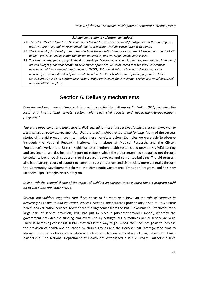#### *5. Alignment: summary of recommendations*

- 5.1 The 2011-2015 Medium Term Development Plan will be a crucial document for alignment of the aid program *with PNG priorities, and we recommend that its preparation include consultation with donors.*
- 5.2 The Partnership for Development schedules have the potential to improve alignment between aid and the PNG *budget, provided funding commitments are adhered to, and the large funding gaps closed.*
- 5.3 To close the large funding gaps in the Partnership for Development schedules, and to promote the alignment of *aid and budget funds under common development priorities, we recommend that the PNG Government develop a multi‐year expenditure framework (MTEF). This would indicate how both development and recurrent, government and aid funds would be utilized to fill critical recurrent funding gaps and achieve realistic priority sectoral performance targets. Major Partnership for Development schedules would be revised once the MTEF is in place.*

## **Section 6. Delivery mechanisms**

*Consider and recommend: "appropriate mechanisms for the delivery of Australian ODA, including the local and international private sector, volunteers, civil society and government‐to‐government programs."*

*There are important non‐state actors in PNG, including those that receive significant government money but that act as autonomous agencies, that are making effective use of aid funding.* Many of the success stories of the aid program seem to involve these non-state actors. Examples we were able to observe included: the National Research Institute, the Institute of Medical Research, and the Clinton Foundation's work in the Eastern Highlands to strengthen health systems and provide HIV/AIDS testing and treatment. We also heard of important reforms which the aid program had supported not through consultants but through supporting local research, advocacy and consensus‐building. The aid program also has a strong record of supporting community organizations and civil society more generally through the Community Development Scheme, the Democratic Governance Transition Program, and the new Strongim Pipol Strongim Nesen program.

In line with the general theme of the report of building on success, there is more the aid program could *do to work with non‐state actors.* 

*Several stakeholders suggested that there needs to be more of a focus on the role of churches in delivering basic health and education services.* Already, the churches provide about half of PNG's basic health and education services. Most of the funding comes from the PNG Government. Effectively, for a large part of service provision, PNG has put in place a purchaser-provider model, whereby the government provides the funding and overall policy settings, but outsources actual service delivery. There is increasing consensus in PNG that this is the way to go. *Vision 2050* includes goals to increase the provision of health and education by church groups and the *Development Strategic Plan* aims to strengthen service delivery partnerships with churches. The Government recently signed a State‐Church partnership. The National Department of Health has established a Public Private Partnership unit.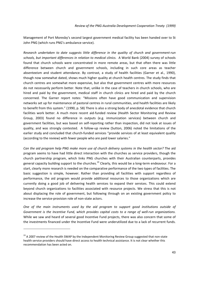Management of Port Moresby's second largest government medical facility has been handed over to St John PNG (which runs PNG's ambulance service).

*Research undertaken to date suggests little difference in the quality of church and government‐run schools, but important differences in relation to medical clinics.* A World Bank (2004) survey of schools found that church schools were concentrated in more remote areas, but that often there was little difference between church and government schools, including in such core areas as teacher absenteeism and student attendance. By contrast, a study of health facilities (Garner et al., 1990), though now somewhat dated, shows much higher quality at church health centres. The study finds that church centres are somewhat more expensive, but also that government centres with more resources do not necessarily perform better. Note that, unlike in the case of teachers in church schools, who are hired and paid by the government, medical staff in church clinics are hired and paid by the church concerned. The Garner report notes: "Missions often have good communication and supervision networks set up for maintenance of pastoral centres in rural communities, and health facilities are likely to benefit from this system." (1990, p. 58) There is also a strong body of anecdotal evidence that church facilities work better. A much more recent aid-funded review (Health Sector Monitoring and Review Group, 2003) found no difference in outputs (e.g. immunization services) between church and government facilities, but was based on self‐reporting rather than inspection, did not look at issues of quality, and was strongly contested. A follow-up review (Sutton, 2006) noted the limitations of the earlier study and concluded that church-funded services "provide services of at least equivalent quality (according to the review) with fewer people who are paid lower salaries."

*Can the aid program help PNG make more use of church delivery systems in the health sector?* The aid program seems to have had little direct interaction with the churches as service providers, though the church partnership program, which links PNG churches with their Australian counterparts, provides general capacity building support to the churches.<sup>19</sup> Clearly, this would be a long-term endeavour. For a start, clearly more research is needed on the comparative performance of the two types of facilities. The basic suggestion is simple, however. Rather than providing all facilities with support regardless of performance, the aid program would provide additional resources to those organizations which are currently doing a good job of delivering health services to expand their services. This could extend beyond church organizations to facilities associated with resource projects. We stress that this is not about displacing the role of government, but following through on an existing government policy to increase the service‐provision role of non‐state actors.

*One of the main instruments used by the aid program to support good institutions outside of Government is the Incentive Fund, which provides capital costs to a range of well‐run organizations.* While we saw and heard of several good Incentive Fund projects, there was also concern that some of the investments financed under the Incentive Fund were underutilized due to a lack of recurrent funds.

 $19$  A 2007 review of the Health SWAP by the Independent Monitoring Review Group suggested that non-state health service providers should have direct access to health technical assistance. It is not clear whether this recommendation has been acted on.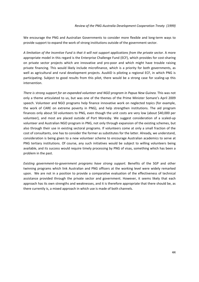We encourage the PNG and Australian Governments to consider more flexible and long-term ways to provide support to expand the work of strong institutions outside of the government sector.

A limitation of the Incentive Fund is that it will not support applications from the private sector. A more appropriate model in this regard is the Enterprise Challenge Fund (ECF), which provides for cost‐sharing on private sector projects which are innovative and pro‐poor and which might have trouble raising private financing. This would likely include microfinance, which is a priority for both governments, as well as agricultural and rural development projects. AusAID is piloting a regional ECF, in which PNG is participating. Subject to good results from this pilot, there would be a strong case for scaling‐up this intervention.

*There is strong support for an expanded volunteer and NGO program in Papua New Guinea.* This was not only a theme articulated to us, but was one of the themes of the Prime Minister Somare's April 2009 speech. Volunteer and NGO programs help finance innovative work on neglected topics (for example, the work of CARE on extreme poverty in PNG), and help strengthen institutions. The aid program finances only about 50 volunteers to PNG, even though the unit costs are very low (about \$40,000 per volunteer), and most are placed outside of Port Moresby. We suggest consideration of a scaled‐up volunteer and Australian NGO program in PNG, not only through expansion of the existing schemes, but also through their use in existing sectoral programs. If volunteers come at only a small fraction of the cost of consultants, one has to consider the former as substitutes for the latter. Already, we understand, consideration is being given to a new volunteer scheme to encourage Australian academics to serve at PNG tertiary institutions. Of course, any such initiatives would be subject to willing volunteers being available, and its success would require timely processing by PNG of visas, something which has been a problem in the past.

*Existing government‐to‐government programs have strong support.* Benefits of the SGP and other twinning programs which link Australian and PNG officers at the working level were widely remarked upon. We are not in a position to provide a comparative evaluation of the effectiveness of technical assistance provided through the private sector and government. However, it seems likely that each approach has its own strengths and weaknesses, and it is therefore appropriate that there should be, as there currently is, a mixed approach in which use is made of both channels.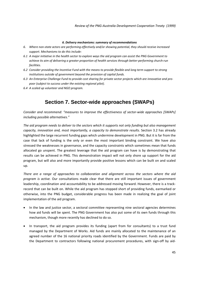### *6. Delivery mechanisms: summary of recommendations*

- *6. Where non‐state actors are performing effectively and/or showing potential, they should receive increased support. Mechanisms to do this include:*
- 6.1 A major initiative in the health sector to explore ways the aid program can assist the PNG Government to achieve its aim of delivering a greater proportion of health services through better-performing church-run *facilities.*
- 6.2 Consider providing the Incentive Fund with the means to provide flexible and long term support to strong *institutions outside of government beyond the provision of capital funds.*
- 6.3 An Enterprise Challenge Fund to provide cost sharing for private sector projects which are innovative and pro*poor (subject to success under the existing regional pilot).*
- *6.4 A scaled up volunteer and NGO program.*

## **Section 7. Sector-wide approaches (SWAPs)**

*Consider and recommend: "measures to improve the effectiveness of sector‐wide approaches [SWAPs] including possible alternatives."* 

The aid program needs to deliver to the sectors which it supports not only funding but also management *capacity, innovation and, most importantly, a capacity to demonstrate results.* Section 3.2 has already highlighted the large recurrent funding gaps which undermine development in PNG. But it is far from the case that lack of funding is the only or even the most important binding constraint. We have also stressed the weaknesses in governance, and the capacity constraints which sometimes mean that funds allocated go unspent. The greatest leverage that the aid program can have is by demonstrating that results can be achieved in PNG. This demonstration impact will not only shore up support for the aid program, but will also and more importantly provide positive lessons which can be built on and scaled up.

*There are a range of approaches to collaboration and alignment across the sectors where the aid program is active.* Our consultations made clear that there are still important issues of government leadership, coordination and accountability to be addressed moving forward. However, there is a trackrecord that can be built on. While the aid program has stopped short of providing funds, earmarked or otherwise, into the PNG budget, considerable progress has been made in realizing the goal of joint implementation of the aid program.

- In the law and justice sector, a sectoral committee representing nine sectoral agencies determines how aid funds will be spent. The PNG Government has also put some of its own funds through this mechanism, though more recently has declined to do so.
- In transport, the aid program provides its funding (apart from for consultants) to a trust fund managed by the Department of Works. Aid funds are mainly allocated to the maintenance of an agreed number of the 16 national priority roads identified by the Government. Funds are paid by the Department to contractors following national procurement procedures, with sign-off by aid-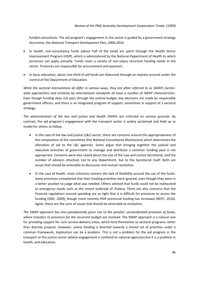funded consultants. The aid program's engagement in the sector is guided by a government strategy document, the *National Transport Development Plan, 2006‐2010.*

- In health, non-consultancy funds (about half of the total) are spent through the Health Sector Improvement Program (HSIP), which is administered by the National Department of Health to which provinces can apply annually. Funds cover a variety of non‐salary recurrent funding needs in the sector. Provinces are responsible for procurement and payment.
- In basic education, about one-third of aid funds are disbursed through an imprest account under the control of the Department of Education.

While the sectoral interventions all differ in various ways, they are often referred to as SWAPs (sector*wide approaches) and certainly by international standards all have a number of SWAP characteristics*. Even though funding does not pass through the central budget, key decisions are made by responsible government officers, and there is an integrated program of support, sometimes in support of a sectoral strategy.

*The administration of the law and justice and health SWAPs are criticized on various grounds.* By contrast, the aid program's engagement with the transport sector is widely acclaimed and held up as model for others to follow.

- In the case of the law and justice (L&J) sector, there are concerns around the appropriateness of the composition of the committee (the National Consultative Mechanism) which determines the allocation of aid to the L&J agencies. Some argue that bringing together the judicial and executive branches of government to manage and distribute a common funding pool is not appropriate. Concerns were also raised about the size of the Law and Justice Secretariat, and the number of advisers attached, not to any Department, but to the Secretariat itself. Both are issues that should be amenable to discussion and mutual resolution.
- In the case of health, most criticisms concern the lack of flexibility around the use of the funds. Some provinces complained that their funding priorities were ignored, even though they were in a better position to judge what was needed. Others advised that funds could not be reallocated to emergency needs such as the recent outbreak of cholera. There are also concerns that the financial regulations around spending are so tight that it is difficult for provinces to access the funding (ODE, 2009), though more recently HSIP provincial funding has increased (NEFC, 2010). Again, these are the sorts of issues that should be amenable to resolution.

*The SWAP approach has also paradoxically given rise to the parallel, uncoordinated provision of funds, where transfers to provinces for the recurrent budget are involved.* The SWAP approach is a natural one for providing support for core service-delivery areas, which lend themselves to sectoral programs rather than discrete projects. However, unless funding is directed towards a shared set of priorities under a common framework, duplication can be a problem. This is not a problem for the aid program in the transport or the justice sector (where engagement is confined to national agencies) but it is a problem in health, and education.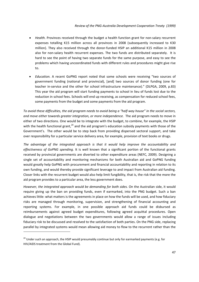- *Health.* Provinces received through the budget a health function grant for non-salary recurrent expenses totalling K15 million across all provinces in 2008 (subsequently increased to K30 million). They also received through the donor‐funded HSIP an additional K15 million in 2008 also for non-salary health recurrent expenses. The two funds are distributed separately. It is hard to see the point of having two separate funds for the same purpose, and easy to see the problems which having uncoordinated funds with different rules and procedures might give rise to.
- *Education.* A recent GoPNG report noted that some schools were receiving "two sources of government funding (national and provincial), [and] two sources of donor funding (one for teacher in‐service and the other for school infrastructure maintenance)." (DLPGA, 2009, p.83) This year the aid program will start funding payments to school in lieu of funds lost due to the reduction in school fees. Schools will end up receiving, as compensation for reduced school fees, some payments from the budget and some payments from the aid program.

To avoid these difficulties, the aid program needs to avoid being a "half-way house" in the social sectors, *and move either towards greater integration, or more independence.* The aid program needs to move in either of two directions. One would be to integrate with the budget, to combine, for example, the HSIP with the health functional grant,<sup>20</sup> and the aid program's education subsidy payments with those of the Government's. The other would be to step back from providing dispersed sectoral support, and take over responsibility for a particular service delivery area, for example, provision of text books or drugs.

*The advantage of the integrated approach is that it would help improve the accountability and effectiveness of GoPNG spending.* It is well known that a significant portion of the functional grants received by provincial governments are diverted to other expenditure areas (NEFC, 2009). Designing a single set of accountability and monitoring mechanisms for both Australian aid and GoPNG funding would greatly help GoPNG with procurement and financial accountability and reporting in relation to its own funding, and would thereby provide significant leverage to and impact from Australian aid funding. Closer links with the recurrent budget would also help limit fungibility, that is, the risk that the more the aid program provides to a particular area, the less government does.

*However, the integrated approach would be demanding for both sides.* On the Australian side, it would require giving up the ban on providing funds, even if earmarked, into the PNG budget. Such a ban achieves little: what matters is the agreements in place on how the funds will be used, and how fiduciary risks are managed through monitoring, supervision, and strengthening of financial accounting and reporting systems. For example, in one possible approach aid funds could be disbursed as reimbursements against agreed budget expenditures, following agreed acquittal procedures. Open dialogue and negotiations between the two governments would allow a range of issues including fiduciary risk to be discussed and resolved to the satisfaction of both parties. On the PNG side, replacing parallel by integrated systems would mean allowing aid money to flow to the recurrent rather than the

 $^{20}$  Under such an approach, the HSIP would presumably continue but only for earmarked payments (e.g. for HIV/AIDS treatment from the Global Fund).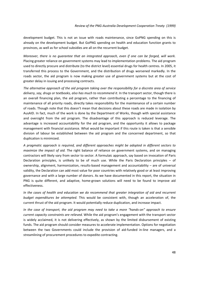development budget. This is not an issue with roads maintenance, since GoPNG spending on this is already on the development budget. But GoPNG spending on health and education function grants to provinces, as well as for school subsidies are all on the recurrent budget.

*Moreover, there is no guarantee that an integrated approach, even if one can be forged, will work.* Placing greater reliance on government systems may lead to implementation problems. The aid program used to directly procure and distribute (to the district level) essential drugs for health centres. In 2005, it transferred this process to the Government, and the distribution of drugs worsened markedly. In the roads sector, the aid program is now making greater use of government systems but at the cost of greater delay in issuing and processing contracts.

*The alternative approach of the aid program taking over the responsibility for a discrete area of service delivery, say, drugs or textbooks, also has much to recommend it.* In the transport sector, though there is an overall financing plan, the aid program, rather than contributing a percentage to the financing of maintenance of all priority roads, directly takes responsibility for the maintenance of a certain number of roads. Though note that this doesn't mean that decisions about these roads are made in isolation by AusAID. In fact, much of the work is done by the Department of Works, though with special assistance and oversight from the aid program. The disadvantage of this approach is reduced leverage. The advantage is increased accountability for the aid program, and the opportunity it allows to package management with financial assistance. What would be important if this route is taken is that a sensible division of labour be established between the aid program and the concerned department, so that duplication is minimized.

*A pragmatic approach is required, and different approaches might be adopted in different sectors to maximize the impact of aid.* The right balance of reliance on government systems, and on managing contractors will likely vary from sector to sector. A formulaic approach, say based on invocation of Paris Declaration principles, is unlikely to be of much use. While the Paris Declaration principles – of ownership, alignment, harmonization, results‐based management and accountability – are of universal validity, the Declaration can add most value for poor countries with relatively good or at least improving governance and with a large number of donors. As we have documented in this report, the situation in PNG is quite different, and adaptive, home-grown solutions will need to be found to improve aid effectiveness.

*In the cases of health and education we do recommend that greater integration of aid and recurrent budget expenditures be attempted.* This would be consistent with, though an acceleration of, the current thrust of the aid program. It would potentially reduce duplication, and increase impact.

In the case of transport, the aid program may need to take a more "hands-on" approach to ensure *current capacity constraints are relieved.* While the aid program's engagement with the transport sector is widely acclaimed, it is not delivering effectively, as shown by the limited disbursement of existing funds. The aid program should consider measures to accelerate implementation. Options for negotiation between the two Governments could include the provision of aid-funded in-line managers, and a streamlining of procurement procedures to expedite contracting.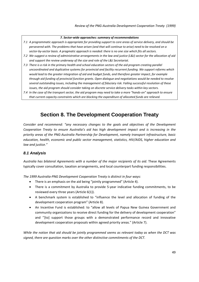## *7. Sector‐wide approaches: summary of recommendations*

- 7.1 A programmatic approach is appropriate for providing support to core areas of service delivery, and should be persevered with. The problems that have arisen (and that will continue to arise) need to be resolved on a sector-by-sector basis. A pragmatic approach is needed: there is no one size which fits all sectors.
- 7.2 We suggest a review of administrative arrangements in the law and justice (L&J) sector for the allocation of aid *and support the review underway of the size and role of the L&J Secretariat.*
- 7.3 There is a risk in the primary health and school education sectors of the aid program creating parallel *uncoordinated and duplicative systems for provincial and facility recurrent funding. We support reforms which would lead to the greater integration of aid and budget funds, and therefore greater impact, for example through aid funding of provincial function grants. Open dialogue and negotiations would be needed to resolve several outstanding issues, including the management of fiduciary risk. Failing successful resolution of these issues, the aid program should consider taking on discrete service delivery tasks within key sectors.*
- 7.4 In the case of the transport sector, the aid program may need to take a more "hands-on" approach to ensure *that current capacity constraints which are blocking the expenditure of allocated funds are relieved.*

# **Section 8. The Development Cooperation Treaty**

*Consider and recommend: "any necessary changes to the goals and objectives of the Development Cooperation Treaty to ensure Australia's aid has high development impact and is increasing in the priority areas of the PNG‐Australia Partnership for Development, namely transport infrastructure, basic education, health, economic and public sector management, statistics, HIV/AIDS, higher education and law and justice."*

## *8.1 Analysis*

*Australia has bilateral Agreements with a number of the major recipients of its aid*. These Agreements typically cover consultation, taxation arrangements, and local counterpart funding responsibilities.

*The 1999 Australia‐PNG Development Cooperation Treaty is distinct in four ways:*

- There is an emphasis on the aid being "jointly programmed" (Article 4).
- There is a commitment by Australia to provide 5-year indicative funding commitments, to be reviewed every three years (Article 6(1)).
- A benchmark system is established to "influence the level and allocation of funding of the development cooperation program" (Article 8).
- An Incentive Fund is established: to "allow all levels of Papua New Guinea Government and community organizations to receive direct funding for the delivery of development cooperation" and ''[to] support those groups with a demonstrated performance record and innovative development cooperation proposals within agreed priority areas." (Article 7).

*While the notion that aid should be jointly programmed seems as relevant today as when the DCT was signed, there are question marks over the other distinctive commitments of the DCT.*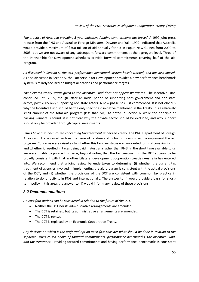*The practice of Australia providing 5‐year indicative funding commitments has lapsed.* A 1999 joint press release from the PNG and Australian Foreign Ministers (Downer and Yaki, 1999) indicated that Australia would provide a maximum of \$300 million of aid annually for aid in Papua New Guinea from 2000 to 2003, but we are not aware of any subsequent forward commitments at the aggregate level. Three of the Partnership for Development schedules provide forward commitments covering half of the aid program.

*As discussed in Section 5, the DCT performance benchmark system hasn't worked, and has also lapsed.* As also discussed in Section 5, the Partnership for Development provides a new performance benchmark system, similarly focused on budget allocations and performance targets.

*The elevated treaty status given to the Incentive Fund does not appear warranted.* The Incentive Fund continued until 2009, though, after an initial period of supporting both government and non‐state actors, post-2005 only supporting non-state actors. A new phase has just commenced. It is not obvious why the Incentive Fund should be the only specific aid initiative mentioned in the Treaty. It is a relatively small amount of the total aid program (less than 5%). As noted in Section 6, while the principle of backing winners is sound, it is not clear why the private sector should be excluded, and why support should only be provided through capital investments.

*Issues have also been raised concerning tax treatment under the Treaty.* The PNG Department of Foreign Affairs and Trade raised with us the issue of tax-free status for firms employed to implement the aid program. Concerns were raised as to whether this tax-free status was warranted for profit-making firms, and whether it resulted in taxes being paid in Australia rather than PNG. In the short time available to us we were unable to pursue this issue, beyond noting that the tax treatment in the DCT appears to be broadly consistent with that in other bilateral development cooperation treaties Australia has entered into. We recommend that a joint review be undertaken to determine: (i) whether the current tax treatment of agencies involved in implementing the aid program is consistent with the actual provisions of the DCT; and (ii) whether the provisions of the DCT are consistent with common tax practice in relation to donor activity in PNG and internationally. The answer to (i) would provide a basis for shortterm policy in this area; the answer to (ii) would inform any review of these provisions.

## *8.2 Recommendations*

*At least four options can be considered in relation to the future of the DCT:*

- Neither the DCT nor its administrative arrangements are amended.
- The DCT is retained, but its administrative arrangements are amended.
- The DCT is revised.
- The DCT is replaced by an Economic Cooperation Treaty.

Any decision on which is the preferred option must first consider what should be done in relation to the *separate issues raised above of forward commitments, performance benchmarks, the Incentive Fund, and tax treatment.* Providing forward commitments and having performance benchmarks is consistent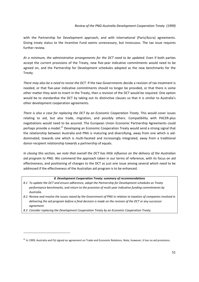with the Partnership for Development approach, and with international (Paris/Accra) agreements. Giving treaty status to the Incentive Fund seems unnecessary, but innocuous. The tax issue requires further review.

*At a minimum, the administrative arrangements for the DCT need to be updated.* Even if both parties accept the current provisions of the Treaty, new five-year indicative commitments would need to be agreed on, and the Partnership for Development schedules adopted as the new benchmarks for the Treaty.

*There may also be a need to revise the DCT.* If the two Governments decide a revision of tax treatment is needed, or that five‐year indicative commitments should no longer be provided, or that there is some other matter they wish to insert in the Treaty, then a revision of the DCT would be required. One option would be to standardize the DCT by taking out its distinctive clauses so that it is similar to Australia's other development cooperation agreements.

*There is also a case for replacing the DCT by an Economic Cooperation Treaty.* This would cover issues relating to aid, but also trade, migration, and possibly others. Compatibility with PACER‐plus negotiations would need to be assured. The European Union Economic Partnership Agreements could perhaps provide a model.<sup>21</sup> Developing an Economic Cooperation Treaty would send a strong signal that the relationship between Australia and PNG is maturing and diversifying, away from one which is aid‐ dominated, towards one which is multi‐faceted and increasingly integrated, away from a traditional donor‐recipient relationship towards a partnership of equals.

In closing this section, we note that overall the DCT has little influence on the delivery of the Australian *aid program to PNG.* We commend the approach taken in our terms of reference, with its focus on aid effectiveness, and positioning of changes to the DCT as just one issue among several which need to be addressed if the effectiveness of the Australian aid program is to be enhanced.

## *8. Development Cooperation Treaty: summary of recommendations*

- *8.1 To update the DCT and ensure adherence, adopt the Partnership for Development schedules as Treaty performance benchmarks, and return to the provision of multi‐year indicative funding commitments by Australia.*
- 8.2 Review and resolve the issues raised by the Government of PNG in relation to taxation of companies involved in delivering the aid program before a final decision is made on the revision of the DCT or any successor *agreement.*
- *8.3 Consider replacing the Development Cooperation Treaty by an Economic Cooperation Treaty.*

<sup>&</sup>lt;sup>21</sup> In 1999, Australia and Fiji signed an agreement on Trade and Economic Relations. Note, however, it has no aid provisions.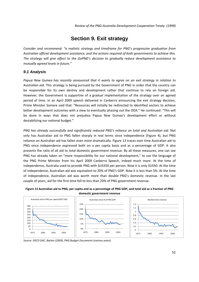*Review of the PNG‐Australia Development Cooperation Treaty (1999)*

## **Section 9. Exit strategy**

*Consider and recommend: "a realistic strategy and timeframe for PNG's progressive graduation from Australian official development assistance, and the actions required of both governments to achieve this. The strategy will give effect to the GoPNG's decision to gradually reduce development assistance to mutually agreed levels in future."* 

## *9.1 Analysis*

*Papua New Guinea has recently announced that it wants to agree on an exit strategy in relation to Australian aid.* This strategy is being pursued by the Government of PNG in order that the country can be responsible for its own destiny and development rather that continue to rely on foreign aid. However, the Government is supportive of a gradual implementation of the strategy over an agreed period of time. In an April 2009 speech delivered in Canberra announcing the exit strategy decision, Prime Minister Somare said that: "Resources will initially be redirected to identified sectors to achieve better development outcomes with a view to eventually phasing out the ODA." He continued: "This will be done in ways that does not prejudice Papua New Guinea's development effort or without destabilizing our national budget."

*PNG has already successfully and significantly reduced PNG's reliance on total and Australian aid.* Not only has Australian aid to PNG fallen sharply in real terms since independence (Figure 4), but PNG reliance on Australian aid has fallen even more dramatically. Figure 13 traces over time Australian aid to PNG since independence expressed both on a per capita basis and as a percentage of GDP. It also presents the ratio of all aid to total domestic government revenue. By all these measures, one can see PNG has already taken on "more responsibility for our national development," to use the language of the PNG Prime Minister from his April 2009 Canberra Speech, indeed much more. At the time of independence, Australia used to provide PNG with \$US350 per person. Now it is only \$US50. At the time of independence, Australian aid was equivalent to 20% of PNG's GDP. Now it is less than 5%. At the time of independence, Australian aid was worth more than double PNG's domestic revenue. In the last couple of years, aid for the first time fell to less than 20% of PNG government revenue.



Figure 13 Australian aid to PNG, per capita and as a percentage of PNG GDP, and total aid as a fraction of PNG **domestic government revenue**

*Source: OECD DAC, Batten (2009), PNG Budget Documents (various years).*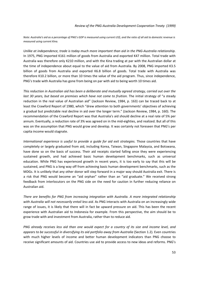Note: Australia's aid as a percentage of PNG's GDP is measured using current US\$, and the ratio of all aid to domestic revenue is *measured using current Kina.*

*Unlike at independence, trade is today much more important than aid in the PNG‐Australia relationship.* In 1975, PNG imported K161 million of goods from Australia and exported K47 million. Total trade with Australia was therefore only K210 million, and with the Kina trading at par with the Australian dollar at the time of independence about equal to the value of aid from Australia. By 2008, PNG imported K3.5 billion of goods from Australia and exported K6.8 billion of goods. Total trade with Australia was therefore K10.2 billion, or more than 10 times the value of the aid program. Thus, since independence, PNG's trade with Australia has gone from being on par with aid to being worth 10 times aid.

*This reduction in Australian aid has been a deliberate and mutually agreed strategy, carried out over the last 30 years, but based on premises which have not come to fruition.* The initial strategy of "a steady reduction in the real value of Australian aid" (Jackson Review, 1984, p. 163) can be traced back to at least the Crawford Report of 1980, which "drew attention to both governments' objectives of achieving a gradual but predictable real decline in aid over the longer term." (Jackson Review, 1984, p. 160). The recommendation of the Crawford Report was that Australia's aid should decline at a real rate of 5% per annum. Eventually, a reduction rate of 3% was agreed on in the mid‐eighties, and realized. But all of this was on the assumption that PNG would grow and develop. It was certainly not foreseen that PNG's per capita income would stagnate.

*International experience is useful to provide a guide for aid exit strategies.* Those countries that have completely or largely graduated from aid, including Korea, Taiwan, Singapore Malaysia, and Botswana, have done so on the basis of success. Their aid receipts started falling once they were experiencing sustained growth, and had achieved basic human development benchmarks, such as universal education. While PNG has experienced growth in recent years, it is too early to say that this will be sustained, and PNG is a long way off from achieving basic human development benchmarks, such as the MDGs. It is unlikely that any other donor will step forward in a major way should Australia exit. There is a risk that PNG would become an "aid orphan" rather than an "aid graduate." We received strong feedback from interlocutors on the PNG side on the need for caution in further reducing reliance on Australian aid.

*There are benefits for PNG from increasing integration with Australia. A more integrated relationship with Australia will not necessarily entail less aid.* As PNG interacts with Australia on an increasingly wide range of issues, it is likely that there will in fact be upward pressure on aid. This has been the recent experience with Australian aid to Indonesia for example. From this perspective, the aim should be to grow trade with and investment from Australia, rather than to reduce aid.

PNG already receives less aid than one would expect for a country of its size and income level, and *appears to be successful in diversifying its aid portfolio away from Australia* (Section 1.2)*.* Even countries with much higher levels of income and better human development indicators than PNG choose to receive significant amounts of aid. Countries use aid to provide access to new ideas and reforms. PNG's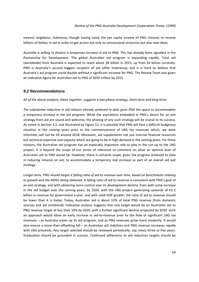nearest neighbour, Indonesia, though having twice the per capita income of PNG chooses to receive billions of dollars in aid in order to get access not only to concessional resources but also new ideas.

*Australia is willing to finance a temporary increase in aid to PNG.* This has already been signalled in the Partnership for Development. The global Australian aid program is expanding rapidly. Total aid (worldwide) from Australia is expected to reach about \$8 billion in 2015, up from \$4 billion currently. PNG is Australia's second biggest recipient of aid (after Indonesia), and it is hard to believe that Australia's aid program could double without a significant increase for PNG. The Review Team was given an indicative figure for Australian aid to PNG of \$650 million by 2015.

## *9.2 Recommendations*

All of the above analysis, taken together, suggests a two-phase strategy, short-term and long-term.

*The substantial reduction in aid reliance already achieved to date gives PNG the space to accommodate a temporary increase in the aid program.* While the aspirations embodied in PNG's desire for an exit strategy from aid are sound and welcome, the phasing of any such strategy will be crucial to its success. As noted in Section 3.2, and illustrated by Figure 12, it is possible that PNG will face a difficult budgetary situation in the coming years prior to the commencement of LNG tax revenues which, we were informed, will not be till around 2018. Moreover, aid supplements not just internal financial resources but technical expertise and capacity which are going to be in high demand in the coming years. For these reasons, the Australian aid program has an especially important role to play in the run‐up to the LNG project. It is beyond the scope of our terms of reference to comment on what an optimal level of Australian aid to PNG would be. However, there is certainly scope, given the progress achieved to date in reducing reliance on aid, to accommodate a temporary real increase as part of an overall aid exit strategy.

Longer term, PNG should target a falling ratio of aid to revenue over time, based on benchmarks relating *to growth and the MDGs being obtained.* A falling ratio of aid to revenue is consistent with PNG's goal of an exit strategy, and with obtaining more control over its development destiny. Even with some increase in the aid budget over the coming years, by 2020, with the LNG project generating upwards of K1‐2 billion in revenue for government a year, and with solid GDP growth, the ratio of aid to revenue should be lower than it is today. Today, Australian aid is about 13% of total PNG revenue (from domestic sources and aid combined). Indicative analysis suggests that one target would be an Australian aid to PNG revenue target of less than 10% by 2020, with a further significant decline projected by 2030. Such an approach would allow an early increase in aid-to-revenue prior to the flow of significant LNG tax revenues – as Australia scales up its aid program, and as PNG revenues grow more modestly. It would also ensure a more-than-offsetting fall – as Australian aid stabilizes and PNG revenue increases rapidly with LNG proceeds. Any target selected should be reviewed periodically, say, every three or five years. Graduation should be grounded in success. Continued adherence to aid reduction targets should be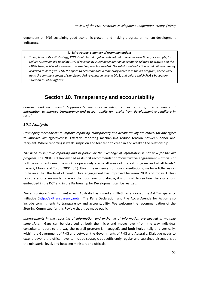dependent on PNG sustaining good economic growth, and making progress on human development indicators.

*9. Exit strategy: summary of recommendations*

9. To implement its exit strategy, PNG should target a falling ratio of aid to revenue over time (for example, to reduce Australian aid to below 10% of revenue by 2020) dependent on benchmarks relating to growth and the *MDGs being achieved. However, a phased approach is needed. The substantial reduction in aid reliance already achieved to date gives PNG the space to accommodate a temporary increase in the aid program, particularly up to the commencement of significant LNG revenues in around 2018, and before which PNG's budgetary situation could be difficult.* 

# **Section 10. Transparency and accountability**

*Consider and recommend: "appropriate measures including regular reporting and exchange of information to improve transparency and accountability for results from development expenditure in PNG."*

## *10.1 Analysis*

*Developing mechanisms to improve reporting, transparency and accountability are critical for any effort to improve aid effectiveness.* Effective reporting mechanisms reduce tension between donor and recipient. Where reporting is weak, suspicion and fear tend to creep in and weaken the relationship.

*The need to improve reporting and in particular the exchange of information is not new for the aid program.* The 2004 DCT Review had as its first recommendation "constructive engagement – officials of both governments need to work cooperatively across all areas of the aid program and at all levels." (Lepani, Morris and Tuioti, 2004, p.1). Given the evidence from our consultations, we have little reason to believe that the level of constructive engagement has improved between 2004 and today. Unless resolute efforts are made to repair the poor level of dialogue, it is difficult to see how the aspirations embedded in the DCT and in the Partnership for Development can be realized.

*There is a shared commitment to act.* Australia has signed and PNG has endorsed the Aid Transparency Initiative (http://aidtransparency.net/). The Paris Declaration and the Accra Agenda for Action also include commitments to transparency and accountability. We welcome the recommendation of the Steering Committee for this Review that it be made public.

*Improvements in the reporting of information and exchange of information are needed in multiple dimensions*. Gaps can be observed at both the micro and macro level (from the way individual consultants report to the way the overall program is managed), and both horizontally and vertically, within the Government of PNG and between the Governments of PNG and Australia. Dialogue needs to extend beyond the officer level to include strategic but sufficiently regular and sustained discussions at the ministerial level, and between ministers and officials.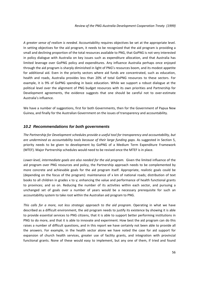*A greater sense of realism is needed.* Accountability requires objectives be set at the appropriate level. In setting objectives for the aid program, it needs to be recognized that the aid program is providing a small and declining proportion of the total resources available to PNG, that GoPNG is not very interested in policy dialogue with Australia on key issues such as expenditure allocation, and that Australia has limited leverage over GoPNG policy and expenditures. Any influence Australia perhaps once enjoyed through the aid program is sharply diminished in light of PNG's resources boom, and its modest appetite for additional aid. Even in the priority sectors where aid funds are concentrated, such as education, health and roads, Australia provides less than 20% of total GoPNG resources to these sectors. For example, it is 9% of GoPNG spending in basic education. While we support a robust dialogue at the political level over the alignment of PNG budget resources with its own priorities and Partnership for Development agreements, the evidence suggests that one should be careful not to over-estimate Australia's influence.

We have a number of suggestions, first for both Governments, then for the Government of Papua New Guinea, and finally for the Australian Government on the issues of transparency and accountability.

## *10.2 Recommendations for both governments*

*The Partnership for Development schedules provide a useful tool for transparency and accountability, but are undermined as accountability tools because of their large funding gaps.* As suggested in Section 5, priority needs to be given to development by GoPNG of a Medium Term Expenditure Framework (MTEF). Major Partnership schedules would need to be revised once the MTEF is in place.

*Lower‐level, intermediate goals are also needed for the aid program.* Given the limited influence of the aid program over PNG resources and policy, the Partnership approach needs to be complemented by more concrete and achievable goals for the aid program itself. Appropriate, realistic goals could be (depending on the focus of the program): maintenance of x km of national roads; distribution of text books to all children in grades x to y; enhancing the value and performance of health functional grants to provinces; and so on. Reducing the number of its activities within each sector, and pursuing a unchanged set of goals over a number of years would be a necessary prerequisite for such an accountability system to take root within the Australian aid program to PNG.

*This calls for a more, not less strategic approach to the aid program.* Operating in what we have described as a difficult environment, the aid program needs to justify its existence by showing it is able to provide essential services to PNG citizens, that it is able to support better performing institutions in PNG to do more, and that it is able to innovate and experiment. How best the aid program can do this raises a number of difficult questions, and in this report we have certainly not been able to provide all the answers. For example, in the health sector alone we have noted the case for aid support for expansion of church health services, greater use of facility grants, and integration with provincial functional grants. None of these would easy to implement, but any one of them, if tried and found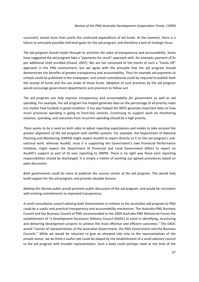successful, would more than justify the continued expenditure of aid funds. At the moment, there is a failure to articulate possible mid‐level goals for the aid program, and therefore a lack of strategic focus.

*The aid program should model through its activities the value of transparency and accountability.* Some have suggested the aid program take a "payments for result" approach with, for example, payment of \$x per additional child enrolled (Chand, 2007). We are not convinced of the merits of such a "hands off" approach in the PNG environment, but we agree with the principle that the aid program should demonstrate the benefits of greater transparency and accountability. Thus for example aid payments to schools could be published in the newspaper, and school noticeboards could be required to publish both the receipt of funds and the use made of those funds. Adoption of such practices by the aid program would encourage government departments and provinces to follow suit.

*The aid program can help improve transparency and accountability for government as well as aid spending.* For example, the aid program has helped generate data on the percentage of all priority roads (no matter how funded) in good condition. It has also helped the NEFC generate important data on how much provincial spending is going to front-line services. Continuing to support work on monitoring volumes, spending, and outcomes from recurrent spending should be a high priority.

There seems to be a need on both sides to adjust reporting expectations and modes to take account the *greater alignment of the aid program with GoPNG systems.* For example, the Department of National Planning and Monitoring (DNPM) might expect AusAID to report directly to it on the aid program's sub‐ national work, whereas AusAID, since it is supporting the Government's own Provincial Performance Initiative, might expect the Department of Provincial and Local Government Affairs to report on AusAID's support as part of its own reporting to DNPM. There is no right way these joint reporting responsibilities should be discharged. It is simply a matter of working out agreed procedures based on open discussion.

*Both governments could do more to publicize the success stories of the aid program.* This would help build support for the aid program, and provide valuable lessons.

*Making this Review public* would promote public discussion of the aid program, and would be consistent with existing commitments to improved transparency.

*A small consultative council advising both Governments in relation to the Australian aid program to PNG could be a useful and practical transparency and accountability mechanism.* The Australia‐PNG Business Council and the Business Council of PNG recommended to the 2009 Australia‐PNG Ministerial Forum the establishment of "a Development Assistance Delivery Council (DADC) to assist in identifying, structuring and delivering development projects to achieve the most effective and efficient outcomes." The DADC would "consist of representatives of the Australian Government, the PNG Government and the Business Councils." While we would be reluctant to give an elevated role only to the representatives of the private sector, we do think a useful role could be played by the establishment of a small advisory council to the aid program with broader representation. Such a body could perhaps meet at the time of the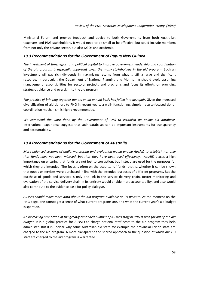Ministerial Forum and provide feedback and advice to both Governments from both Australian taxpayers and PNG stakeholders. It would need to be small to be effective, but could include members from not only the private sector, but also NGOs and academia.

## *10.3 Recommendations for the Government of Papua New Guinea*

*The investment of time, effort and political capital to improve government leadership and coordination of the aid program is especially important given the many stakeholders in the aid program.* Such an investment will pay rich dividends in maximizing returns from what is still a large and significant resource. In particular, the Department of National Planning and Monitoring should avoid assuming management responsibilities for sectoral projects and programs and focus its efforts on providing strategic guidance and oversight to the aid program.

*The practice of bringing together donors on an annual basis has fallen into disrepair.* Given the increased diversification of aid donors to PNG in recent years, a well‐ functioning, simple, results‐focused donor coordination mechanism is highly recommended.

*We commend the work done by the Government of PNG to establish an online aid database.* International experience suggests that such databases can be important instruments for transparency and accountability.

## *10.4 Recommendations for the Government of Australia*

*More balanced systems of audit, monitoring and evaluation would enable AusAID to establish not only that funds have not been misused, but that they have been used effectively. AusAID* places a high importance on ensuring that funds are not lost to corruption, but instead are used for the purposes for which they are intended. The focus is often on the acquittal of funds: that is, whether it can be shown that goods or services were purchased in line with the intended purposes of different programs. But the purchase of goods and services is only one link in the service delivery chain. Better monitoring and evaluation of the service delivery chain in its entirety would enable more accountability, and also would also contribute to the evidence base for policy dialogue.

*AusAID should make more data about the aid program available on its website.* At the moment on the PNG page, one cannot get a sense of what current programs are, and what the current year's aid budget is spent on.

An increasing proportion of the greatly expanded number of AusAID staff in PNG is paid for out of the aid *budget.* It is a global practice for AusAID to charge national staff costs to the aid program they help administer. But it is unclear why some Australian aid staff, for example the provincial liaison staff, are charged to the aid program. A more transparent and shared approach to the question of which AusAID staff are charged to the aid program is warranted.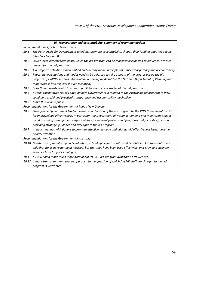## *10. Transparency and accountability: summary of recommendations*

*Recommendations for both Governments:*

- *10.1 The Partnership for Development schedules promote accountability, though their funding gaps need to be filled (see Section 5).*
- 10.2 Lower-level, intermediate goals, which the aid program can be realistically expected to influence, are also *needed for the aid program.*
- *10.3 Aid program activities should embed and thereby model principles of public transparency and accountability.*
- 10.4 Reporting expectations and modes need to be adjusted to take account of the greater use by the aid *program of GoPNG systems. Stand‐alone reporting by AusAID to the National Department of Planning and Monitoring is less relevant in such a context.*
- *10.5 Both Governments could do more to publicize the success stories of the aid program.*
- 10.6 A small consultative council advising both Governments in relation to the Australian aid program to PNG *could be a useful and practical transparency and accountability mechanism.*
- *10.7 Make this Review public.*

### *Recommendations for the Government of Papua New Guinea:*

- *10.8 Strengthened government leadership and coordination of the aid program by the PNG Government is critical for improved aid effectiveness. In particular, the Department of National Planning and Monitoring should avoid assuming management responsibilities for sectoral projects and programs and focus its efforts on providing strategic guidance and oversight to the aid program.*
- *10.9 Annual meetings with donors to promote effective dialogue and address aid effectiveness issues deserve priority attention.*

*Recommendations for the Government of Australia*

- *10.10 Greater use of monitoring and evaluation, extending beyond audit, would enable AusAID to establish not* only that funds have not been misused, but that they have been used effectively, and provide a stronger *evidence base for policy dialogue.*
- *10.11 AusAID could make much more data about its PNG aid program available on its website.*
- 10.12 A more transparent and shared approach to the question of which AusAID staff are charged to the aid *program is warranted.*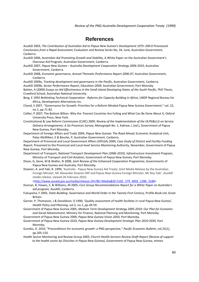*Review of the PNG‐Australia Development Cooperation Treaty (1999)*

## **References**

AusAID 2003, *The Contribution of Australian Aid to Papua New Guinea's Development 1975–200:0 Provisional Conclusions from a Rapid Assessment*, Evaluation and Review Series No, 34, June, Australian Government, Canberra.

AusAID 2006, *Australian Aid Promoting Growth and Stability*, A White Paper on the Australian Government's Overseas Aid Program, Australian Government, Canberra.

- AusAID 2007, *Papua New Guinea – Australia Development Cooperation Strategy 2006‐2010*, Australian Government, Canberra.
- AusAID 2008, *Economic governance, Annual Thematic Performance Report 2006‐07,* Australian Government, Canberra.

AusAID 2009a, *Tracking development and governance in the Pacific,* Australian Government, Canberra.

AusAID 2009b, *Sector Performance Report, Education‐2009*, Australian Government, Port Moresby

Batten, A (2009) *Essays on Aid Effectiveness in the Small Island Developing States of the South Pacific*, PhD Thesis, Crawford School, Australian National University.

Berg, E 1993 *Rethinking Technical Cooperation ‐ Reforms for Capacity Building in Africa*, UNDP Regional Bureau for Africa, Development Alternatives Inc.

Chand, S 2007, "Governance for Growth: Priorities for a Reform Minded Papua New Guinea Government," vol. 22, no.1, pp.71‐82.

Collier, P 2007, The Bottom Billion: Why the Poorest Countries Are Failing and What Can Be Done About It, Oxford University Press, New York.

Constitutional & Law Reform Commission (CLRC) 2009, *Review of the Implementation of the OLPG&LLG on Service Delivery Arrangements: A Six Provinces Survey*; *Monograph No: 1*, Kalinoe, L (ed.), Government of Papua New Guinea, Port Moresby.

Department of Foreign Affairs and Trade 2004, *Papua New Guinea: The Road Ahead*, Economic Analytical Unit, Palac‐McMiken, E & Bourke, P, Australian Government, Canberra.

Department of Provincial and Local Government Affairs (DPLGA) 2009, *Case Study of District and Facility Funding Report,* Presented to the Provincial and Local‐level Service Monitoring Authority, November, Government of Papua New Guinea, Port Moresby.

Department of Transport, *National Transport Development Plan (2006‐2010): Infrastructure Investment Program,* Ministry of Transport and Civil Aviation, Government of Papua New Guinea, Port Moresby.

- Dixon, G, Gene, M & Walter, N 2008, *Joint Review of the Enhanced Cooperation Programme*, Governments of Papua New Guinea and Australia, Port Moresby.
- Downer, A. and Yaki, R. 1999, 'Australia ‐ Papua New Guinea Aid Treaty: Joint Media Release by the Australian Foreign Minster, Mr Alexander Downer MP and Papua New Guinea Foreign Minister, Mr Roy Yaki', AusAID *media release*, viewed 26 February 2010,

<http://www.ausaid.gov.au/media/release.cfm?BC=Media&ID=5181\_579\_4692\_1286\_3180>

- Duncan, R, Howes, S. & Williams, M 2005, *Core Group Recommendations Report for a White Paper on Australia's aid program,* AusAID, Canberra.
- Fukuyama, F 2005, *State‐Building: Governance and World Order in the Twenty‐First Century*, Profile Book Ltd, Great Britain.
- Garner, P, Thomason, J & Donaldson, D 1990, 'Quality assessment of health facilities in rural Papua New Guinea', *Health Policy and Planning,* vol.5, no.1, pp.49‐59.
- Government of Papua New Guinea 2005, *Medium Term Development Strategy 2005‐2010: Our Plan for Economic and Social Advancement*, Ministry for Finance, National Planning and Monitoring, Port Moresby.

Government of Papua New Guinea 2009, *Papua New Guinea Vision 2050,* Port Moresby.

Government of Papua New Guinea 2010, *Papua New Guinea Development Strategic Plan 2010‐2030,* Port Moresby.

Gumbis, D. 2010, "Preconditions for economic growth: a PNG perspective," *Pacific Economic Bulletin*, vol.25(1), pp.205‐210.

Health Sector Monitoring and Review Group 2003, *Church Health Services Review Draft Report (Review of support to the health sector by Churches in Papua New Guinea),* Government of Papua New Guinea, mimeo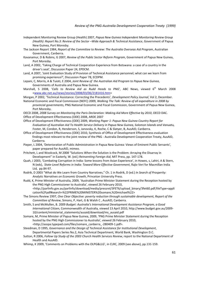- Independent Monitoring Review Group (Health) 2007, *Papua New Guinea Independent Monitoring Review Group (Health): Report No.3: Review of the Sector –Wide Approach & Technical Assistance*, Government of Papua New Guinea, Port Moresby.
- The Jackson Report 1984, *Report of the Committee to Review: The Australia Overseas Aid Program*, Australian Government, Canberra.
- Kavanamur, D & Robins, G 2007, *Review of the Public Sector Reform Program*, Government of Papua New Guinea, Port Moresby.
- Land, A 2002, 'Taking Charge of Technical Cooperation Experience from Botswana: a case of a country in the driver's seat', Discussion Paper 24, EPDCM.
- Land, A 2007, 'Joint Evaluation Study of Provision of Technical Assistance personnel; what can we learn from promising experience?', Discussion Paper 78, ECDPM.
- Lepani, C, Morris, A & Tuioti, E 2004, *Joint Review of the Australian Aid Program to Papua New Guinea*, Governments of Australia and Papua New Guinea.
- Marshall, S 2008, '*Calls to Review Aid as Rudd Heads to PNG'*, ABC News, viewed 6th March 2008 <www.abc.net.au/news/stories/2008/03/06/2181416.htm>
- Morgan, P 2002, 'Technical Assistance: Correcting the Precedents', *Development Policy Journal*, Vol 2, December.
- National Economic and Fiscal Commission (NEFC) 2009, *Walking The Talk: Review of all expenditure in 2008 by provincial governments,* PNG National Economic and Fiscal Commission, Government of Papua New Guinea, Port Moresby.
- OECD 2008, *2008 Survey on Monitoring the Paris Declaration: Making Aid More Effective by 2010*, OECD DAC. Office of Development Effectiveness (ODE) 2008, ARDE 2007
- Office of Development Effectiveness (ODE) 2009, *Working Paper 1: Papua New Guinea Country Report for Evaluation of Australian Aid To Health Service Delivery in Papua New Guinea, Solomon Islands and Vanuatu,* Foster, M, Condon, R, Henderson, S, Janovsky, K, Roche, C & Slatyer, B, AusAID, Canberra.
- Office of Development Effectiveness (ODE) 2010, Synthesis of Office of Development Effectiveness evaluation findings most relevant to the joint review of the PNG ‐ Australia Development Cooperation Treaty, AusAID, Canberra.
- Pieper, L 2004, 'Deterioration of Public Administration in Papua New Guinea: Views of Eminent Public Servants', paper prepared for AusAID, mimeo.
- Pritchett, L and Woolcock, M 2008 "Solutions When the Solution is the Problem: Arraying the Disarray in Development" in Easterly, W. (ed.) *Reinventing Foreign Aid*, MIT Press, pp. 147‐178.
- Quah, J 2003, 'Combating Corruption in India: Some lessons from Asian Experience', in Howes, s, Lahiri, A & Stern, N (eds), *State‐Level Reforms in India: Toward More Effective Government*, Rajiv Veri for Macmillan India Ltd, pp.84‐97.
- Rodrik, D 2003 "What do We Learn from Country Narratives," Ch. 1 in Rodrik, D (ed.) *In Search of Prosperity: Analytic Narratives on Economic Growth*, Princeton University Press.
- Rudd, K, Prime Minister of Australia, 2009, 'Australian Prime Minister Statement during the Reception hosted by the PNG High Commissioner to Australia', viewed 26 February 2010, <http://parlinfo.gov.au/parlInfo/download/media/pressrel/3FET6/upload\_binary/3fet60.pdf;fileType=appli cation%2Fpdf#search=%22PRIME%20MINISTER%20somare,%20michael%22>
- The Simons Review 1997, *One Clear Objective: poverty reduction through sustainable development, Report of the Committee of Review*, Simons, P, Hart, G & Walsh C , AusAID, Canberra.
- Smith, S and McMullen, B. 2009 *Budget: Australia's International Development Assistance Program, a Good International Citizen,* Commonwealth of Australia*,* viewed 13 April 2010, http://www.budget.gov.au/2009‐ 10/content/ministerial\_statements/ausaid/download/ms\_ausaid.pdf
- Somare, M, Prime Minister of Papua New Guinea, 2009, 'PNG Prime Minister Statement during the Reception hosted by the PNG High Commissioner to Australia', viewed 26 February 2010, <http://asopa.typepad.com/files/somare\_canberra\_‐280409‐1.pdf>.
- Steedman, D 1995, *Governance and the Design of Technical Assistance for Institutional Development*, Departmental Papers Series No.2, Asia Technical Department, World Bank, Washington D.C.
- Sutton, R 2006, *Follow Up Study of the 2003 Church Health Services Review*, report to the National Department of Health and AusAID.
- Whimp, K 2009, 'Comments on Problems with the OLPG&LLG', in CLRC, 2009 (see above), pp.131‐159.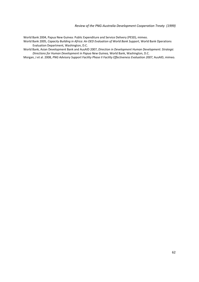World Bank 2004, Papua New Guinea: Public Expenditure and Service Delivery (PESD), mimeo.

World Bank 2005, *Capacity Building in Africa: An OED Evaluation of World Bank Support*, World Bank Operations Evaluation Department, Washington, D.C.

World Bank, Asian Development Bank and AusAID 2007, *Direction in Development Human Development: Strategic Directions for Human Development in Papua New Guinea,* World Bank, Washington, D.C.

Morgan, J et al. 2008, *PNG Advisory Support Facility Phase II Facility Effectiveness Evaluation 2007*, AusAID, mimeo.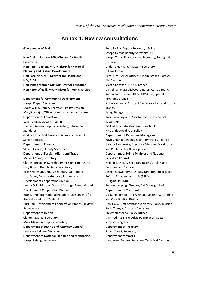## **Annex 1: Review consultations**

#### *Government of PNG*

**Hon Arthur Somare, MP, Minister for Public Enterprise Hon Paul Tiensten, MP, Minister for National Planning and District Development Hon Sasa Zibe, MP, Minister for Health and HIV/AIDS Hon James Marape MP, Minister for Education Hon Peter O'Neill, MP, Minister for Public Service Department for Community Development** Joseph Klapat, Secretary Molly Willie, Deputy Secretary, Policy Division Maryline Kajoi, Office for Advancement of Women **Department of Education** Luke Taita, Secretary (Acting) Damien Rapesa, Deputy Secretary, Education Standards Godfrey Rua, First Assistant Secretary, Curriculum Senior officials **Department of Finance** Steven Gibson, Deputy Secretary **Department of Foreign Affairs and Trade** Michael Maue, Secretary Charles Lepani, PNG High Commissioner to Australia Lucy Bogari, Deputy Secretary, Policy Elias Wohengu, Deputy Secretary, Operations Kapi Maro, Director General , Economic and Development Cooperation Division Jimmy Ovia, Director General (acting), Economic and Development Cooperation Division Bran Kamu, International Relations Division, Pacific, Australia and New Zealand Buri Gari, Development Cooperation Branch (Review Secretariat) **Department of Health** Clement Malau, Secretary Mark Malaudu, Deputy Secretary **Department of Justice and Attorney General** Lawrence Kalinoe, Secretary **Department of National Planning and Monitoring** Joseph Lelang, Secretary

Ruby Zariga, Deputy Secretary ‐ Policy Joseph Demas Deputy Secretary ‐ PIP Joseph Turia, First Assistant Secretary, Foreign Aid Division Linda Taman‐Eko, Assistant Secretary Juliana Kubak Peter Pim, Senior Officer, AusAID Branch, Foreign Aid Division Martin Korokan, AusAID Branch Daniel Tahakuta, Aid Coordinator, AusAID Branch Rodda Yami, Senior Office, HIV‐AIDS, Special Programs Branch Willie Kamanga, Assistant Secretary ‐ Law and Justice Branch Faragi Barega Rose Raka Koyama, Assistant Secretary, Social Sector, PIP Bill Flaherty, Infrastructure Branch, PIP Nicola Blackford, ODI Fellow **Department of Personnel Management** Ravu Veranagi, Deputy Secretary, Policy (acting) George Taunakeke, Executive Manager, Workforce and Public Sector Development **Department of Prime Minister and National Executive Council** Arai Pula, Deputy Secretary (acting), Policy and Coordination Division Joseph Sukwianomb, Deputy Director, Public Sector Reform Management Unit (PSRMU) Fiu Igara, PSRMU Rosalind Hoping, Director, Aid Oversight Unit **Department of Transport** Mr Kone Pombo, First Assistant Secretary, Planning and Coordination Division Gabi Hava, First Assistant Secretary, Policy Division Stella Tukuya, Assistant Secretary Philemon Meapa, Policy Officer Manfred Ruczinski, Adviser, Transport Sector Support Program **Department of Treasury** Simon Tosali, Secretary **Department of Works** Hand Aroa, Deputy Secretary, Technical Division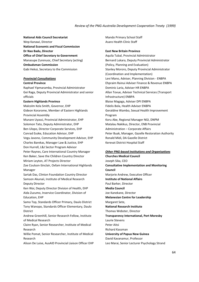#### *Review of the PNG‐Australia Development Cooperation Treaty (1999)*

#### **National Aids Council Secretariat**

Wep Kanawi, Director **National Economic and Fiscal Commission Dr Nao Badu, Director Office of Chief Secretary to Government** Manasupe Zurenuoc, Chief Secretary (acting) **Ombudsman Commission** Gabi Hekoi, Secretary to the Commission

### *Provincial Consultations*

### **Central Province**

Raphael Yipmaramba, Provincial Administrator Gei Raga, Deputy Provincial Administrator and senior officials

#### **Eastern Highlands Province**

Malcolm Kela Smith, Governor, EHP Gideon Korarome, Member of Eastern Highlands Provincial Assembly Munare Uyassi, Provincial Administrator, EHP Solomon Tato, Deputy Administrator, EHP Ben Ulopo, Director Corporate Services, EHP Conrad Esoke, Education Advisor, EHP Vegu Javono, Community Development Advisor, EHP Charles Barekas, Manager Law & Justice, EHP Don Hurrell, L&J Sector Program Advisor Peter Raynes, Care International Country Manager Ken Baker, Save the Children Country Director Miriam Leyton, AT Projects Director Zoe Coulson‐Sinclair, Oxfam International Highlands Manager Sartak Das, Clinton Foundation Country Director Samson Akunaii, Institute of Medical Research Deputy Director Ken Wai, Deputy Director Division of Health, EHP Aida Zuzumo, Inservice Coordinator, Division of Education, EHP Samo Top, Standards Officer Primary, Daulo District Tony Wanopo, Standards Officer Elementary, Daulo District Andrew Greenhill, Senior Research Fellow, Institute of Medical Research Claire Ryan, Senior Researcher, Institute of Medical Research Willie Pomat, Senior Researcher, Institute of Medical Research

Alison De Luise, AusAID Provincial Liaison Officer EHP

Mando Primary School Staff Asaro Health Clinic Staff

### **East New Britain Province**

Aquila Tubal, Provincial Administrator Bernard Lukara, Deputy Provincial Administrator (Policy, Planning and Evaluation) Stanley Mororo, Deputy Provincial Administrator (Coordination and Implementation) Levi Mano, Adviser, Planning Division ‐ ENBPA Ehpraim Rainui Adviser Finance & Revenue ENBPA Dominic Laria, Adviser HR ENBPA Allan Tovue, Adviser Technical Services (Transport Infrastructure) ENBPA Blaise Magaga, Adviser DPI ENBPA Fidelis Bola, Health Adviser ENBPA Geraldine Wambo, Sexual Health Improvement Program Koru Abe, Regional Manager NGI, DNPM Matalau Nakikus, Director, ENB Provincial Administration – Corporate Affairs Peter Buak, Manager, Gazelle Restoration Authority Ronald Midi, DA Gazelle District Kerevat District Hospital Staff

## *Other PNG‐based Institutions and Organisations*

**Churches Medical Council** Joseph Sika, CEO **Consultative Implementation and Monitoring Council** Mariorie Andrew, Executive Officer **Institute of National Affairs**  Paul Barker, Director **Media Council** Joe Kanekane, Director **Melanesian Centre for Leadership** Margaret Sete, **National Research Institute** Thomas Webster, Director **Transparency International, Port Moresby** Laurie Stevens Peter Aitsi Richard Kassman **University of Papua New Guinea** David Kavanamur, Professor Leo Marai, Senior Lecturer Psychology Strand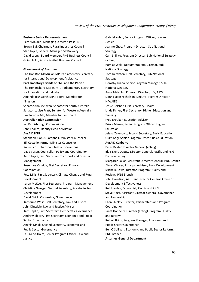#### **Business Sector Representatives**

Peter Maiden, Managing Director, Post PNG Brown Bai, Chairman, Rural Industries Council Stan Joyce, General Manager, SP Brewery David Wong, Board Member, PNG Business Council Goino Loko, Australia‐PNG Business Council

### *Government of Australia*

The Hon Bob McMullan MP, Parliamentary Secretary for International Development Assistance **Parliamentary Friends of PNG and the Pacific** The Hon Richard Marles MP, Parliamentary Secretary for Innovation and Industry Amanda Rishworth MP, Federal Member for Kingston

Senator Ann McEwen, Senator for South Australia Senator Louise Pratt, Senator for Western Australia Jim Turnour MP, Member for Leichhardt

#### **Australian High Commission**

Ian Kemish, High Commissioner John Feakes, Deputy Head of Mission

#### **AusAID PNG**

Stephanie Copus‐Campbell, Minister Counsellor Bill Costello, former Minister Counsellor Robin Scott‐Charlton, Chief of Operations Dave Vosen, Counsellor, Policy and Coordination Keith Joyce, First Secretary, Transport and Disaster Management Rosemary Cassidy, First Secretary, Program Coordination Peta Mills, First Secretary, Climate Change and Rural Development Karan McKee, First Secretary, Program Management Christine Groeger, Second Secretary, Private Sector Development David Chick, Counsellor, Governance Katherine West, First Secretary, Law and Justice John Dinsdale, Law and Justice Advisor Kath Taplin, First Secretary, Democratic Governance

Andrew Elborn, First Secretary, Economic and Public Sector Governance

Angela Dingli, Second Secretary, Economic and Public Sector Governance

Tau Geno‐Hoire, Senior Program Officer, Law and Justice

Gabriel Kubul, Senior Program Officer, Law and Justice Joanne Choe, Program Director, Sub National Strategy Carli Shillito, Program Director, Sub National Strategy (acting) Romias Waki, Deputy Program Director, Sub‐ National Strategy Tom Nettleton, First Secretary, Sub‐National Strategy Dorothy Luana, Senior Program Manager, Sub‐ National Strategy Anne Malcolm, Program Director, HIV/AIDS Donna‐Jean Nicholson, Deputy Program Director, HIV/AIDS Jessie Belcher, First Secretary, Health Lindy Fisher, First Secretary, Higher Education and **Training** Fred Brooker, Education Adviser Prisca Mauve, Senior Program Officer, Higher Education Jelena Zelenovic, Second Secretary, Basic Education Guim Kagl, Senior Program Officer, Basic Education **AusAID Canberra** Peter Baxter, Director General (acting) Blair Exell, Deputy Director General, Pacific and PNG Division (acting) Margaret Callan, Assistant Director General, PNG Branch Alwyn Chilver, Principal Advisor, Rural Development Michelle Lowe, Director, Program Quality and Review, PNG Branch John Davidson, Assistant Director General, Office of Development Effectiveness Rob Harden, Economist, Pacific and PNG Steve Hogg, Assistant Director‐General, Governance and Leadership Ellen Shipley, Director, Partnerships and Program Coordination Janet Donnelly, Director (acting), Program Quality and Review Robert Brink, Program Manager, Economic and Public Sector Governance Ben O'Sullivan, Economic and Public Sector Reform, PNG Branch **Attorney‐General Department**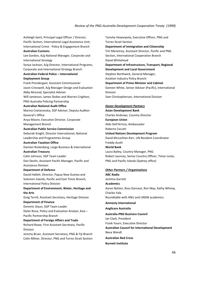Ashleigh Saint, Principal Legal Officer / Director, Pacific Section, International Legal Assistance Unit, International Crime ‐ Policy & Engagement Branch **Australian Customs** Lee Gordon, A/g National Manager, Corporate and International Strategy Sonya Jackson, A/g Director, International Programs, Corporate and International Strategy Branch **Australian Federal Police – International Deployment Group** Frank Prendergast, Assistant Commissioner Jason Cresswell, A/g Manager Design and Evaluation Abby McLeod, Specialist Adviser Will Jamieson, James Stokes and Warren Crighton, PNG‐Australia Policing Partnership **Australian National Audit Office** Marina Cvetanovska, SGP Adviser, Deputy Auditor‐ General's Office Anya Moore, Executive Director, Corporate Management Branch **Australian Public Service Commission** Deborah Knight, Director International, National Leadership and Programmes Group **Australian Taxation Office** Damien Ruitenberg, Large Business & International **Australian Treasury** Colin Johnson, SGP Team Leader Dan Devlin, Assistant Pacific Manager, Pacific and Assistance Division **Department of Defence** David Hallett, Director, Papua New Guinea and Solomon Islands, Pacific and East Timor Branch, International Policy Division **Department of Environment, Water, Heritage and the Arts** Greg Terrill, Assistant Secretary, Heritage Division **Department of Finance** Dominic Staun, SGP Team Leader Dylan Roux, Policy and Evaluation Analyst, Asia – Pacific Partnership Branch **Department of Foreign Affairs and Trade** Richard Rowe, First Assistant Secretary, Pacific Division Jeremy Bruer, Assistant Secretary, PNG & Fiji Branch

Colin Milner, Director, PNG and Torres Strait Section

Tanisha Hewanpola, Executive Officer, PNG and Torres Strait Section **Department of Immigration and Citizenship** Tim Menetrey, Assistant Director, Pacific and PNG Section, International Cooperation Branch David Whitehead **Department of Infrastructure, Transport, Regional Development and Local Government** Stephen Borthwick, General Manager, Aviation Industry Policy Branch **Department of Prime Minister and Cabinet** Damien White, Senior Adviser (Pacific), International Division Sam Christopherson, International Division *Donor Development Partners* **Asian Development Bank**  Charles Andrews, Country Director **European Union** Aldo Dell'Arricia, Ambassador Roberto Cecutti **United Nations Development Program** David McLachlan‐Karr, UN Resident Coordinator Freddy Austli **World Bank**  Laura Bailey, Country Manager, PNG Robert Jauncey, Senior Country Officer, Timor‐Leste, PNG and Pacific Islands (Sydney office)

## *Other Partners / Organisations*

**ABC Radio**  Jemima Garrett **Academics**  Aaron Batten, Ross Garnaut, Ron May, Kathy Whimp, Charles Yala Roundtable with ANU and UNSW academics **Amnesty International Anglicare Australia Australia‐PNG Business Council** Ian Clark, President Frank Yourn, Executive Director **Australian Council for International Development** Neva Wendt **Australian Red Cross Burnett Institute**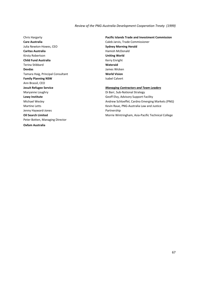Chris Hargarty **Care Australia**  Julia Newton‐Howes, CEO **Caritas Australia** Kirsty Robertson **Child Fund Australia**  Terina Stibbard **Devdas** Tamara Haig, Principal Consultant **Family Planning NSW** Ann Brassil, CEO **Jesuit Refugee Service**  Maryanne Loughry **Lowy Institute** Michael Wesley Martine Letts Jenny Hayward‐Jones **Oil Search Limited** Peter Botten, Managing Director **Oxfam Australia**

**Pacific Islands Trade and Investment Commission**  Caleb Jarvis, Trade Commissioner **Sydney Morning Herald**  Hamish McDonald **Uniting World**  Kerry Enright **Wateraid** James Wicken **World Vision** Isabel Calvert

#### *Managing Contractors and Team Leaders*

Di Barr, Sub‐National Strategy Geoff Elvy, Advisory Support Facility Andrew Schloeffel, Cardno Emerging Markets (PNG) Kevin Raue, PNG‐Australia Law and Justice Partnership Morrie Wintringham, Asia‐Pacific Technical College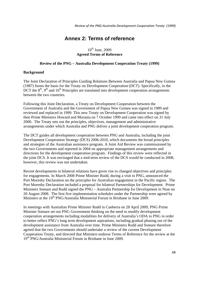# **Annex 2: Terms of reference**

# $10^{th}$  June, 2009 **Agreed Terms of Reference**

#### **Review of the PNG – Australia Development Cooperation Treaty (1999)**

#### **Background**

The Joint Declaration of Principles Guiding Relations Between Australia and Papua New Guinea (1987) forms the basis for the Treaty on Development Cooperation (DCT). Specifically, in the  $DCT$  the  $8<sup>th</sup>$ ,  $9<sup>th</sup>$  and  $16<sup>th</sup>$  Principles are translated into development cooperation arrangements between the two countries.

Following this Joint Declaration, a Treaty on Development Cooperation between the Government of Australia and the Government of Papua New Guinea was signed in 1989 and reviewed and replaced in 1999. This new Treaty on Development Cooperation was signed by then Prime Ministers Howard and Morauta on 7 October 1999 and came into effect on 31 July 2000. The Treaty sets out the principles, objectives, management and administrative arrangements under which Australia and PNG deliver a joint development cooperation program.

The DCT guides all development cooperation between PNG and Australia, including the joint Development Cooperation Strategy (DCS) 2006-2010, which documents the broad principles and strategies of the Australian assistance program. A Joint Aid Review was commissioned by the two Governments and reported in 2004 on appropriate management arrangements and directions for the development cooperation program. Findings of this review were reflected in the joint DCS. It was envisaged that a mid-term review of the DCS would be conducted in 2008, however, this review was not undertaken.

Recent developments in bilateral relations have given rise to changed objectives and principles for engagements. In March 2008 Prime Minister Rudd, during a visit to PNG, announced the Port Moresby Declaration on the principles for Australian engagement in the Pacific region. The Port Moresby Declaration included a proposal for bilateral Partnerships for Development. Prime Ministers Somare and Rudd signed the PNG – Australia Partnership for Development in Niue on 20 August 2008. The first five implementation schedules under the Partnership were agreed by Ministers at the  $19<sup>th</sup> PNG/A$ ustralia Ministerial Forum in Brisbane in June 2009.

In meetings with Australian Prime Minister Rudd in Canberra on 28 April 2009, PNG Prime Minister Somare set out PNG Government thinking on the need to modify development cooperation arrangements including modalities for delivery of Australia's ODA to PNG in order to better reflect PNG's long term development aspirations, including gradual phasing out of the development assistance from Australia over time. Prime Ministers Rudd and Somare therefore agreed that the two Governments should undertake a review of the current Development Cooperation Treaty, and directed that Ministers endorse Terms of Reference for the review at the 19th PNG/Australia Ministerial Forum in Brisbane in June 2009.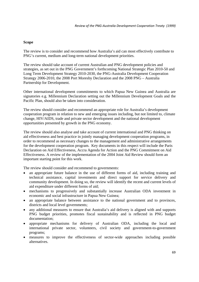### **Scope**

The review is to consider and recommend how Australia's aid can most effectively contribute to PNG's current, medium and long-term national development priorities.

The review should take account of current Australian and PNG development policies and strategies, as set out in the PNG Government's forthcoming National Strategic Plan 2010-50 and Long Term Development Strategy 2010-2030, the PNG-Australia Development Cooperation Strategy 2006-2010, the 2008 Port Moresby Declaration and the 2008 PNG – Australia Partnership for Development.

Other international development commitments to which Papua New Guinea and Australia are signatories e.g. Millennium Declaration setting out the Millennium Development Goals and the Pacific Plan, should also be taken into consideration.

The review should consider and recommend an appropriate role for Australia's development cooperation program in relation to new and emerging issues including, but not limited to, climate change, HIV/AIDS, trade and private sector development and the national development opportunities presented by growth in the PNG economy.

The review should also analyse and take account of current international and PNG thinking on aid effectiveness and best practice in jointly managing development cooperation programs, in order to recommend as necessary changes to the management and administrative arrangements for the development cooperation program. Key documents in this respect will include the Paris Declaration on Aid Effectiveness, Accra Agenda for Action and the PNG Commitment on Aid Effectiveness. A review of the implementation of the 2004 Joint Aid Review should form an important starting point for this work.

The review should consider and recommend to governments:

- an appropriate future balance in the use of different forms of aid, including training and technical assistance, capital investments and direct support for service delivery and community development. In doing so, the review will identify the recent and current levels of aid expenditure under different forms of aid;
- mechanisms to progressively and substantially increase Australian ODA investment in economic and social infrastructure in Papua New Guinea;
- an appropriate balance between assistance to the national government and to provinces, districts and local level governments;
- any additional measures to ensure that Australia's aid delivery is aligned with and supports PNG budget priorities, promotes fiscal sustainability and is reflected in PNG budget documentation;
- appropriate mechanisms for delivery of Australian ODA, including the local and international private sector, volunteers, civil society and government-to-government programs;
- measures to improve the effectiveness of sector-wide approaches including possible alternatives.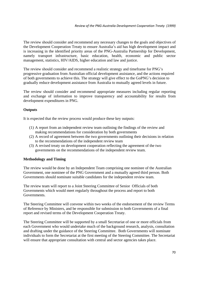The review should consider and recommend any necessary changes to the goals and objectives of the Development Cooperation Treaty to ensure Australia's aid has high development impact and is increasing in the identified priority areas of the PNG-Australia Partnership for Development, namely transport infrastructure, basic education, health, economic and public sector management, statistics, HIV/AIDS, higher education and law and justice.

The review should consider and recommend a realistic strategy and timeframe for PNG's progressive graduation from Australian official development assistance, and the actions required of both governments to achieve this. The strategy will give effect to the GoPNG's decision to gradually reduce development assistance from Australia to mutually agreed levels in future.

The review should consider and recommend appropriate measures including regular reporting and exchange of information to improve transparency and accountability for results from development expenditures in PNG.

## **Outputs**

It is expected that the review process would produce these key outputs:

- (1) A report from an independent review team outlining the findings of the review and making recommendations for consideration by both governments
- (2) A record of agreement between the two governments outlining their decisions in relation to the recommendations of the independent review team
- (3) A revised treaty on development cooperation reflecting the agreement of the two governments on the recommendations of the independent review team.

### **Methodology and Timing**

The review would be done by an Independent Team comprising one nominee of the Australian Government, one nominee of the PNG Government and a mutually agreed third person. Both Governments should nominate suitable candidates for the independent review team.

The review team will report to a Joint Steering Committee of Senior Officials of both Governments which would meet regularly throughout the process and report to both Governments.

The Steering Committee will convene within two weeks of the endorsement of the review Terms of Reference by Ministers, and be responsible for submission to both Governments of a final report and revised terms of the Development Cooperation Treaty.

The Steering Committee will be supported by a small Secretariat of one or more officials from each Government who would undertake much of the background research, analysis, consultation and drafting under the guidance of the Steering Committee. Both Governments will nominate individuals to form the Secretariat at the first meeting of the Steering Committee. The Secretariat will ensure that appropriate consultation with central and sector agencies takes place.